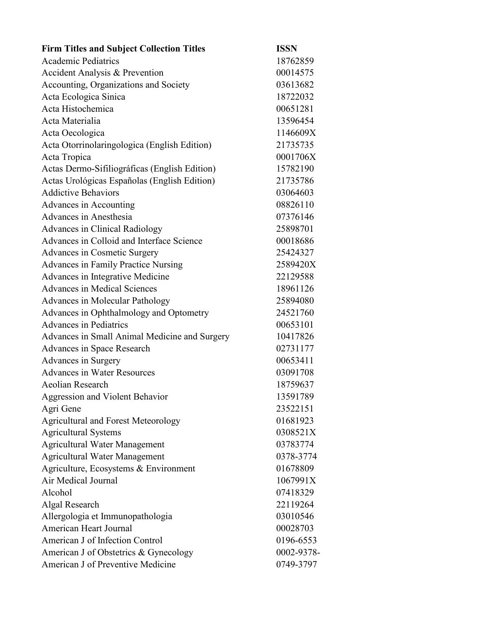| <b>Firm Titles and Subject Collection Titles</b> | <b>ISSN</b> |
|--------------------------------------------------|-------------|
| <b>Academic Pediatrics</b>                       | 18762859    |
| <b>Accident Analysis &amp; Prevention</b>        | 00014575    |
| Accounting, Organizations and Society            | 03613682    |
| Acta Ecologica Sinica                            | 18722032    |
| Acta Histochemica                                | 00651281    |
| Acta Materialia                                  | 13596454    |
| Acta Oecologica                                  | 1146609X    |
| Acta Otorrinolaringologica (English Edition)     | 21735735    |
| Acta Tropica                                     | 0001706X    |
| Actas Dermo-Sifiliográficas (English Edition)    | 15782190    |
| Actas Urológicas Españolas (English Edition)     | 21735786    |
| <b>Addictive Behaviors</b>                       | 03064603    |
| Advances in Accounting                           | 08826110    |
| Advances in Anesthesia                           | 07376146    |
| Advances in Clinical Radiology                   | 25898701    |
| Advances in Colloid and Interface Science        | 00018686    |
| <b>Advances in Cosmetic Surgery</b>              | 25424327    |
| <b>Advances in Family Practice Nursing</b>       | 2589420X    |
| Advances in Integrative Medicine                 | 22129588    |
| <b>Advances in Medical Sciences</b>              | 18961126    |
| <b>Advances in Molecular Pathology</b>           | 25894080    |
| Advances in Ophthalmology and Optometry          | 24521760    |
| <b>Advances in Pediatrics</b>                    | 00653101    |
| Advances in Small Animal Medicine and Surgery    | 10417826    |
| Advances in Space Research                       | 02731177    |
| Advances in Surgery                              | 00653411    |
| <b>Advances in Water Resources</b>               | 03091708    |
| <b>Aeolian Research</b>                          | 18759637    |
| Aggression and Violent Behavior                  | 13591789    |
| Agri Gene                                        | 23522151    |
| Agricultural and Forest Meteorology              | 01681923    |
| <b>Agricultural Systems</b>                      | 0308521X    |
| <b>Agricultural Water Management</b>             | 03783774    |
| <b>Agricultural Water Management</b>             | 0378-3774   |
| Agriculture, Ecosystems & Environment            | 01678809    |
| Air Medical Journal                              | 1067991X    |
| Alcohol                                          | 07418329    |
| Algal Research                                   | 22119264    |
| Allergologia et Immunopathologia                 | 03010546    |
| <b>American Heart Journal</b>                    | 00028703    |
| American J of Infection Control                  | 0196-6553   |
| American J of Obstetrics & Gynecology            | 0002-9378-  |
| American J of Preventive Medicine                | 0749-3797   |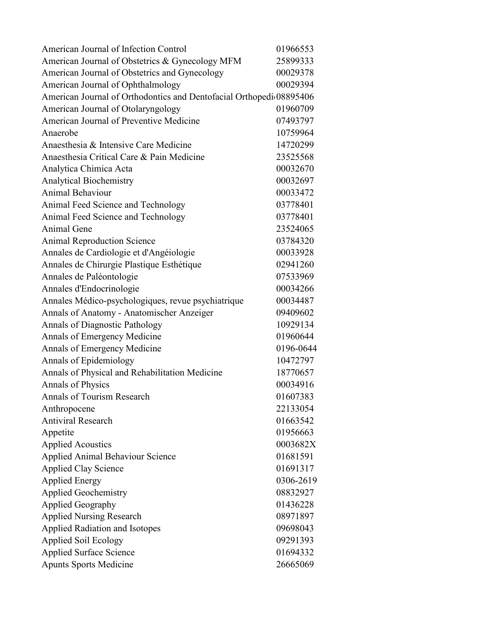| American Journal of Infection Control                               | 01966553  |
|---------------------------------------------------------------------|-----------|
| American Journal of Obstetrics & Gynecology MFM                     | 25899333  |
| American Journal of Obstetrics and Gynecology                       | 00029378  |
| American Journal of Ophthalmology                                   | 00029394  |
| American Journal of Orthodontics and Dentofacial Orthopedi 08895406 |           |
| American Journal of Otolaryngology                                  | 01960709  |
| American Journal of Preventive Medicine                             | 07493797  |
| Anaerobe                                                            | 10759964  |
| Anaesthesia & Intensive Care Medicine                               | 14720299  |
| Anaesthesia Critical Care & Pain Medicine                           | 23525568  |
| Analytica Chimica Acta                                              | 00032670  |
| <b>Analytical Biochemistry</b>                                      | 00032697  |
| <b>Animal Behaviour</b>                                             | 00033472  |
| Animal Feed Science and Technology                                  | 03778401  |
| Animal Feed Science and Technology                                  | 03778401  |
| Animal Gene                                                         | 23524065  |
| <b>Animal Reproduction Science</b>                                  | 03784320  |
| Annales de Cardiologie et d'Angéiologie                             | 00033928  |
| Annales de Chirurgie Plastique Esthétique                           | 02941260  |
| Annales de Paléontologie                                            | 07533969  |
| Annales d'Endocrinologie                                            | 00034266  |
| Annales Médico-psychologiques, revue psychiatrique                  | 00034487  |
| Annals of Anatomy - Anatomischer Anzeiger                           | 09409602  |
| Annals of Diagnostic Pathology                                      | 10929134  |
| Annals of Emergency Medicine                                        | 01960644  |
| Annals of Emergency Medicine                                        | 0196-0644 |
| Annals of Epidemiology                                              | 10472797  |
| Annals of Physical and Rehabilitation Medicine                      | 18770657  |
| Annals of Physics                                                   | 00034916  |
| Annals of Tourism Research                                          | 01607383  |
| Anthropocene                                                        | 22133054  |
| <b>Antiviral Research</b>                                           | 01663542  |
| Appetite                                                            | 01956663  |
| <b>Applied Acoustics</b>                                            | 0003682X  |
| Applied Animal Behaviour Science                                    | 01681591  |
| <b>Applied Clay Science</b>                                         | 01691317  |
| <b>Applied Energy</b>                                               | 0306-2619 |
| <b>Applied Geochemistry</b>                                         | 08832927  |
| <b>Applied Geography</b>                                            | 01436228  |
| <b>Applied Nursing Research</b>                                     | 08971897  |
| <b>Applied Radiation and Isotopes</b>                               | 09698043  |
| <b>Applied Soil Ecology</b>                                         | 09291393  |
| <b>Applied Surface Science</b>                                      | 01694332  |
| <b>Apunts Sports Medicine</b>                                       | 26665069  |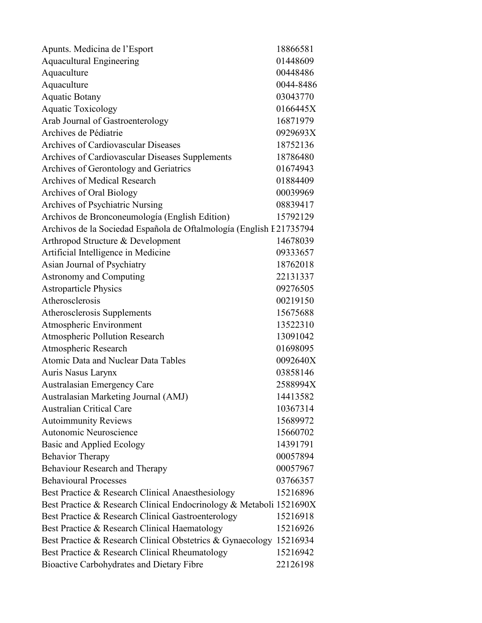| Apunts. Medicina de l'Esport                                        | 18866581  |
|---------------------------------------------------------------------|-----------|
| <b>Aquacultural Engineering</b>                                     | 01448609  |
| Aquaculture                                                         | 00448486  |
| Aquaculture                                                         | 0044-8486 |
| <b>Aquatic Botany</b>                                               | 03043770  |
| <b>Aquatic Toxicology</b>                                           | 0166445X  |
| Arab Journal of Gastroenterology                                    | 16871979  |
| Archives de Pédiatrie                                               | 0929693X  |
| Archives of Cardiovascular Diseases                                 | 18752136  |
| Archives of Cardiovascular Diseases Supplements                     | 18786480  |
| Archives of Gerontology and Geriatrics                              | 01674943  |
| <b>Archives of Medical Research</b>                                 | 01884409  |
| Archives of Oral Biology                                            | 00039969  |
| Archives of Psychiatric Nursing                                     | 08839417  |
| Archivos de Bronconeumología (English Edition)                      | 15792129  |
| Archivos de la Sociedad Española de Oftalmología (English F21735794 |           |
| Arthropod Structure & Development                                   | 14678039  |
| Artificial Intelligence in Medicine                                 | 09333657  |
| Asian Journal of Psychiatry                                         | 18762018  |
| <b>Astronomy and Computing</b>                                      | 22131337  |
| <b>Astroparticle Physics</b>                                        | 09276505  |
| Atherosclerosis                                                     | 00219150  |
| Atherosclerosis Supplements                                         | 15675688  |
| Atmospheric Environment                                             | 13522310  |
| Atmospheric Pollution Research                                      | 13091042  |
| Atmospheric Research                                                | 01698095  |
| Atomic Data and Nuclear Data Tables                                 | 0092640X  |
| Auris Nasus Larynx                                                  | 03858146  |
| Australasian Emergency Care                                         | 2588994X  |
| Australasian Marketing Journal (AMJ)                                | 14413582  |
| <b>Australian Critical Care</b>                                     | 10367314  |
| <b>Autoimmunity Reviews</b>                                         | 15689972  |
| Autonomic Neuroscience                                              | 15660702  |
| Basic and Applied Ecology                                           | 14391791  |
| <b>Behavior Therapy</b>                                             | 00057894  |
| Behaviour Research and Therapy                                      | 00057967  |
| <b>Behavioural Processes</b>                                        | 03766357  |
| Best Practice & Research Clinical Anaesthesiology                   | 15216896  |
| Best Practice & Research Clinical Endocrinology & Metaboli 1521690X |           |
| Best Practice & Research Clinical Gastroenterology                  | 15216918  |
| Best Practice & Research Clinical Haematology                       | 15216926  |
| Best Practice & Research Clinical Obstetrics & Gynaecology          | 15216934  |
| Best Practice & Research Clinical Rheumatology                      | 15216942  |
| Bioactive Carbohydrates and Dietary Fibre                           | 22126198  |
|                                                                     |           |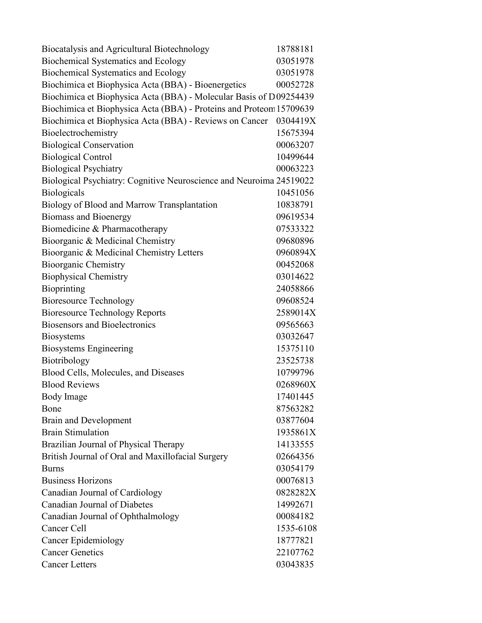| Biocatalysis and Agricultural Biotechnology                         | 18788181  |
|---------------------------------------------------------------------|-----------|
| Biochemical Systematics and Ecology                                 | 03051978  |
| <b>Biochemical Systematics and Ecology</b>                          | 03051978  |
| Biochimica et Biophysica Acta (BBA) - Bioenergetics                 | 00052728  |
| Biochimica et Biophysica Acta (BBA) - Molecular Basis of D09254439  |           |
| Biochimica et Biophysica Acta (BBA) - Proteins and Proteom 15709639 |           |
| Biochimica et Biophysica Acta (BBA) - Reviews on Cancer             | 0304419X  |
| Bioelectrochemistry                                                 | 15675394  |
| <b>Biological Conservation</b>                                      | 00063207  |
| <b>Biological Control</b>                                           | 10499644  |
| <b>Biological Psychiatry</b>                                        | 00063223  |
| Biological Psychiatry: Cognitive Neuroscience and Neuroima 24519022 |           |
| Biologicals                                                         | 10451056  |
| Biology of Blood and Marrow Transplantation                         | 10838791  |
| <b>Biomass and Bioenergy</b>                                        | 09619534  |
| Biomedicine & Pharmacotherapy                                       | 07533322  |
| Bioorganic & Medicinal Chemistry                                    | 09680896  |
| Bioorganic & Medicinal Chemistry Letters                            | 0960894X  |
| <b>Bioorganic Chemistry</b>                                         | 00452068  |
| <b>Biophysical Chemistry</b>                                        | 03014622  |
| Bioprinting                                                         | 24058866  |
| <b>Bioresource Technology</b>                                       | 09608524  |
| <b>Bioresource Technology Reports</b>                               | 2589014X  |
| <b>Biosensors and Bioelectronics</b>                                | 09565663  |
| Biosystems                                                          | 03032647  |
| <b>Biosystems Engineering</b>                                       | 15375110  |
| Biotribology                                                        | 23525738  |
| Blood Cells, Molecules, and Diseases                                | 10799796  |
| <b>Blood Reviews</b>                                                | 0268960X  |
| Body Image                                                          | 17401445  |
| Bone                                                                | 87563282  |
| <b>Brain and Development</b>                                        | 03877604  |
| <b>Brain Stimulation</b>                                            | 1935861X  |
| Brazilian Journal of Physical Therapy                               | 14133555  |
| British Journal of Oral and Maxillofacial Surgery                   | 02664356  |
| <b>Burns</b>                                                        | 03054179  |
| <b>Business Horizons</b>                                            | 00076813  |
| Canadian Journal of Cardiology                                      | 0828282X  |
| Canadian Journal of Diabetes                                        | 14992671  |
| Canadian Journal of Ophthalmology                                   | 00084182  |
| Cancer Cell                                                         | 1535-6108 |
| <b>Cancer Epidemiology</b>                                          | 18777821  |
| <b>Cancer Genetics</b>                                              | 22107762  |
| <b>Cancer Letters</b>                                               | 03043835  |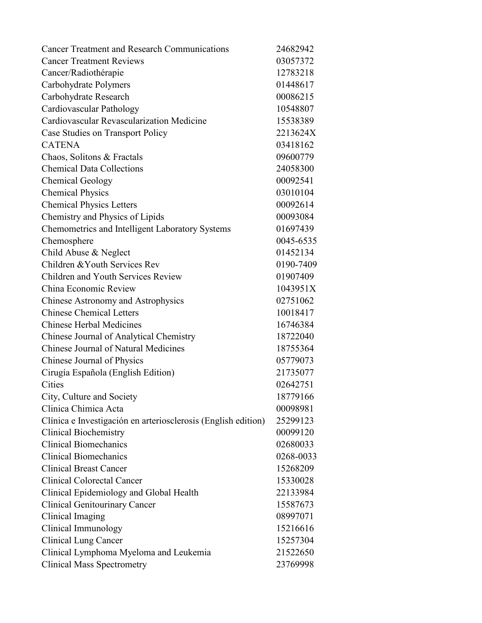| <b>Cancer Treatment and Research Communications</b>           | 24682942  |
|---------------------------------------------------------------|-----------|
| <b>Cancer Treatment Reviews</b>                               | 03057372  |
| Cancer/Radiothérapie                                          | 12783218  |
| Carbohydrate Polymers                                         | 01448617  |
| Carbohydrate Research                                         | 00086215  |
| Cardiovascular Pathology                                      | 10548807  |
| Cardiovascular Revascularization Medicine                     | 15538389  |
| Case Studies on Transport Policy                              | 2213624X  |
| <b>CATENA</b>                                                 | 03418162  |
| Chaos, Solitons & Fractals                                    | 09600779  |
| <b>Chemical Data Collections</b>                              | 24058300  |
| <b>Chemical Geology</b>                                       | 00092541  |
| <b>Chemical Physics</b>                                       | 03010104  |
| <b>Chemical Physics Letters</b>                               | 00092614  |
| Chemistry and Physics of Lipids                               | 00093084  |
| Chemometrics and Intelligent Laboratory Systems               | 01697439  |
| Chemosphere                                                   | 0045-6535 |
| Child Abuse & Neglect                                         | 01452134  |
| Children & Youth Services Rev                                 | 0190-7409 |
| Children and Youth Services Review                            | 01907409  |
| China Economic Review                                         | 1043951X  |
| Chinese Astronomy and Astrophysics                            | 02751062  |
| <b>Chinese Chemical Letters</b>                               | 10018417  |
| <b>Chinese Herbal Medicines</b>                               | 16746384  |
| Chinese Journal of Analytical Chemistry                       | 18722040  |
| <b>Chinese Journal of Natural Medicines</b>                   | 18755364  |
| Chinese Journal of Physics                                    | 05779073  |
| Cirugía Española (English Edition)                            | 21735077  |
| Cities                                                        | 02642751  |
| City, Culture and Society                                     | 18779166  |
| Clinica Chimica Acta                                          | 00098981  |
| Clínica e Investigación en arteriosclerosis (English edition) | 25299123  |
| <b>Clinical Biochemistry</b>                                  | 00099120  |
| <b>Clinical Biomechanics</b>                                  | 02680033  |
| <b>Clinical Biomechanics</b>                                  | 0268-0033 |
| <b>Clinical Breast Cancer</b>                                 | 15268209  |
| <b>Clinical Colorectal Cancer</b>                             | 15330028  |
| Clinical Epidemiology and Global Health                       | 22133984  |
| <b>Clinical Genitourinary Cancer</b>                          | 15587673  |
| Clinical Imaging                                              | 08997071  |
| Clinical Immunology                                           | 15216616  |
| <b>Clinical Lung Cancer</b>                                   | 15257304  |
| Clinical Lymphoma Myeloma and Leukemia                        | 21522650  |
| <b>Clinical Mass Spectrometry</b>                             | 23769998  |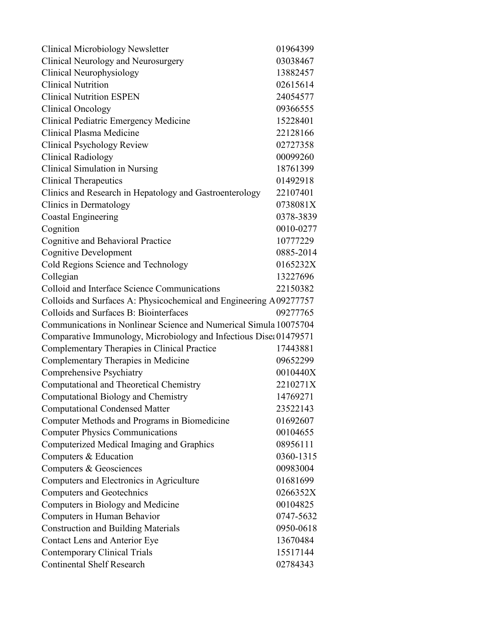| <b>Clinical Microbiology Newsletter</b>                            | 01964399  |
|--------------------------------------------------------------------|-----------|
| Clinical Neurology and Neurosurgery                                | 03038467  |
| Clinical Neurophysiology                                           | 13882457  |
| <b>Clinical Nutrition</b>                                          | 02615614  |
| <b>Clinical Nutrition ESPEN</b>                                    | 24054577  |
| <b>Clinical Oncology</b>                                           | 09366555  |
| Clinical Pediatric Emergency Medicine                              | 15228401  |
| Clinical Plasma Medicine                                           | 22128166  |
| Clinical Psychology Review                                         | 02727358  |
| <b>Clinical Radiology</b>                                          | 00099260  |
| Clinical Simulation in Nursing                                     | 18761399  |
| <b>Clinical Therapeutics</b>                                       | 01492918  |
| Clinics and Research in Hepatology and Gastroenterology            | 22107401  |
| <b>Clinics in Dermatology</b>                                      | 0738081X  |
| <b>Coastal Engineering</b>                                         | 0378-3839 |
| Cognition                                                          | 0010-0277 |
| Cognitive and Behavioral Practice                                  | 10777229  |
| <b>Cognitive Development</b>                                       | 0885-2014 |
| Cold Regions Science and Technology                                | 0165232X  |
| Collegian                                                          | 13227696  |
| Colloid and Interface Science Communications                       | 22150382  |
| Colloids and Surfaces A: Physicochemical and Engineering A09277757 |           |
| Colloids and Surfaces B: Biointerfaces                             | 09277765  |
| Communications in Nonlinear Science and Numerical Simula 10075704  |           |
| Comparative Immunology, Microbiology and Infectious Dise: 01479571 |           |
| Complementary Therapies in Clinical Practice                       | 17443881  |
| Complementary Therapies in Medicine                                | 09652299  |
| Comprehensive Psychiatry                                           | 0010440X  |
| Computational and Theoretical Chemistry                            | 2210271X  |
| Computational Biology and Chemistry                                | 14769271  |
| <b>Computational Condensed Matter</b>                              | 23522143  |
| Computer Methods and Programs in Biomedicine                       | 01692607  |
| <b>Computer Physics Communications</b>                             | 00104655  |
| Computerized Medical Imaging and Graphics                          | 08956111  |
| Computers & Education                                              | 0360-1315 |
| Computers & Geosciences                                            | 00983004  |
| Computers and Electronics in Agriculture                           | 01681699  |
| <b>Computers and Geotechnics</b>                                   | 0266352X  |
| Computers in Biology and Medicine                                  | 00104825  |
| Computers in Human Behavior                                        | 0747-5632 |
| <b>Construction and Building Materials</b>                         | 0950-0618 |
| Contact Lens and Anterior Eye                                      | 13670484  |
| <b>Contemporary Clinical Trials</b>                                | 15517144  |
| <b>Continental Shelf Research</b>                                  | 02784343  |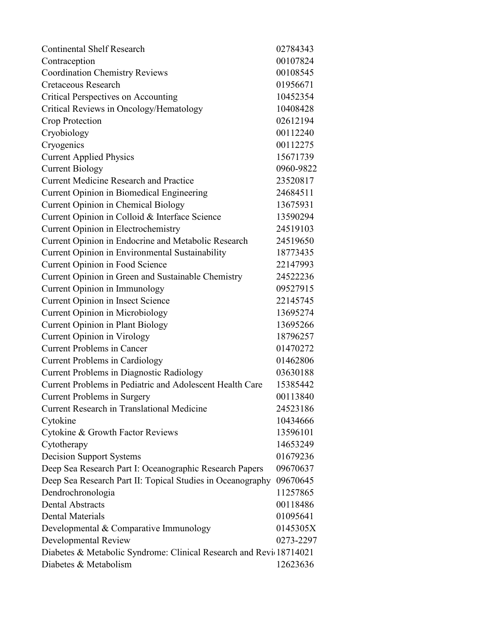| <b>Continental Shelf Research</b>                                  | 02784343  |
|--------------------------------------------------------------------|-----------|
| Contraception                                                      | 00107824  |
| <b>Coordination Chemistry Reviews</b>                              | 00108545  |
| <b>Cretaceous Research</b>                                         | 01956671  |
| <b>Critical Perspectives on Accounting</b>                         | 10452354  |
| Critical Reviews in Oncology/Hematology                            | 10408428  |
| Crop Protection                                                    | 02612194  |
| Cryobiology                                                        | 00112240  |
| Cryogenics                                                         | 00112275  |
| <b>Current Applied Physics</b>                                     | 15671739  |
| <b>Current Biology</b>                                             | 0960-9822 |
| <b>Current Medicine Research and Practice</b>                      | 23520817  |
| Current Opinion in Biomedical Engineering                          | 24684511  |
| <b>Current Opinion in Chemical Biology</b>                         | 13675931  |
| Current Opinion in Colloid & Interface Science                     | 13590294  |
| <b>Current Opinion in Electrochemistry</b>                         | 24519103  |
| Current Opinion in Endocrine and Metabolic Research                | 24519650  |
| Current Opinion in Environmental Sustainability                    | 18773435  |
| Current Opinion in Food Science                                    | 22147993  |
| Current Opinion in Green and Sustainable Chemistry                 | 24522236  |
| Current Opinion in Immunology                                      | 09527915  |
| Current Opinion in Insect Science                                  | 22145745  |
| <b>Current Opinion in Microbiology</b>                             | 13695274  |
| <b>Current Opinion in Plant Biology</b>                            | 13695266  |
| <b>Current Opinion in Virology</b>                                 | 18796257  |
| <b>Current Problems in Cancer</b>                                  | 01470272  |
| <b>Current Problems in Cardiology</b>                              | 01462806  |
| <b>Current Problems in Diagnostic Radiology</b>                    | 03630188  |
| Current Problems in Pediatric and Adolescent Health Care           | 15385442  |
| <b>Current Problems in Surgery</b>                                 | 00113840  |
| <b>Current Research in Translational Medicine</b>                  | 24523186  |
| Cytokine                                                           | 10434666  |
| Cytokine & Growth Factor Reviews                                   | 13596101  |
| Cytotherapy                                                        | 14653249  |
| <b>Decision Support Systems</b>                                    | 01679236  |
| Deep Sea Research Part I: Oceanographic Research Papers            | 09670637  |
| Deep Sea Research Part II: Topical Studies in Oceanography         | 09670645  |
| Dendrochronologia                                                  | 11257865  |
| <b>Dental Abstracts</b>                                            | 00118486  |
| <b>Dental Materials</b>                                            | 01095641  |
| Developmental & Comparative Immunology                             | 0145305X  |
| <b>Developmental Review</b>                                        | 0273-2297 |
| Diabetes & Metabolic Syndrome: Clinical Research and Revi 18714021 |           |
| Diabetes & Metabolism                                              | 12623636  |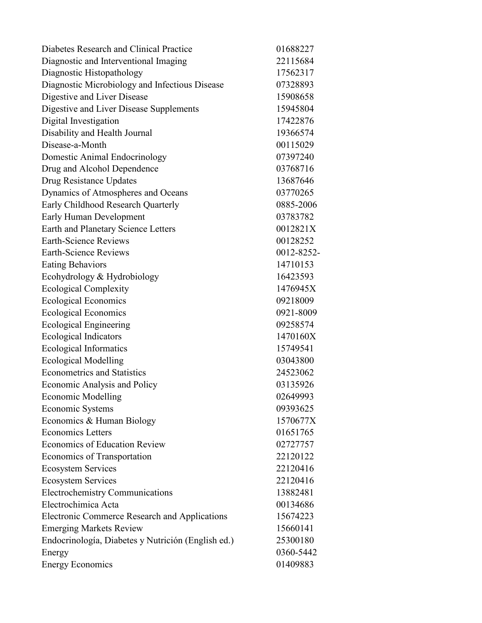| Diabetes Research and Clinical Practice              | 01688227   |
|------------------------------------------------------|------------|
| Diagnostic and Interventional Imaging                | 22115684   |
| Diagnostic Histopathology                            | 17562317   |
| Diagnostic Microbiology and Infectious Disease       | 07328893   |
| Digestive and Liver Disease                          | 15908658   |
| Digestive and Liver Disease Supplements              | 15945804   |
| Digital Investigation                                | 17422876   |
| Disability and Health Journal                        | 19366574   |
| Disease-a-Month                                      | 00115029   |
| Domestic Animal Endocrinology                        | 07397240   |
| Drug and Alcohol Dependence                          | 03768716   |
| Drug Resistance Updates                              | 13687646   |
| Dynamics of Atmospheres and Oceans                   | 03770265   |
| Early Childhood Research Quarterly                   | 0885-2006  |
| <b>Early Human Development</b>                       | 03783782   |
| Earth and Planetary Science Letters                  | 0012821X   |
| <b>Earth-Science Reviews</b>                         | 00128252   |
| <b>Earth-Science Reviews</b>                         | 0012-8252- |
| <b>Eating Behaviors</b>                              | 14710153   |
| Ecohydrology & Hydrobiology                          | 16423593   |
| <b>Ecological Complexity</b>                         | 1476945X   |
| <b>Ecological Economics</b>                          | 09218009   |
| <b>Ecological Economics</b>                          | 0921-8009  |
| <b>Ecological Engineering</b>                        | 09258574   |
| <b>Ecological Indicators</b>                         | 1470160X   |
| <b>Ecological Informatics</b>                        | 15749541   |
| <b>Ecological Modelling</b>                          | 03043800   |
| <b>Econometrics and Statistics</b>                   | 24523062   |
| <b>Economic Analysis and Policy</b>                  | 03135926   |
| <b>Economic Modelling</b>                            | 02649993   |
| Economic Systems                                     | 09393625   |
| Economics & Human Biology                            | 1570677X   |
| <b>Economics Letters</b>                             | 01651765   |
| <b>Economics of Education Review</b>                 | 02727757   |
| Economics of Transportation                          | 22120122   |
| <b>Ecosystem Services</b>                            | 22120416   |
| <b>Ecosystem Services</b>                            | 22120416   |
| <b>Electrochemistry Communications</b>               | 13882481   |
| Electrochimica Acta                                  | 00134686   |
| <b>Electronic Commerce Research and Applications</b> | 15674223   |
| <b>Emerging Markets Review</b>                       | 15660141   |
| Endocrinología, Diabetes y Nutrición (English ed.)   | 25300180   |
| Energy                                               | 0360-5442  |
| <b>Energy Economics</b>                              | 01409883   |
|                                                      |            |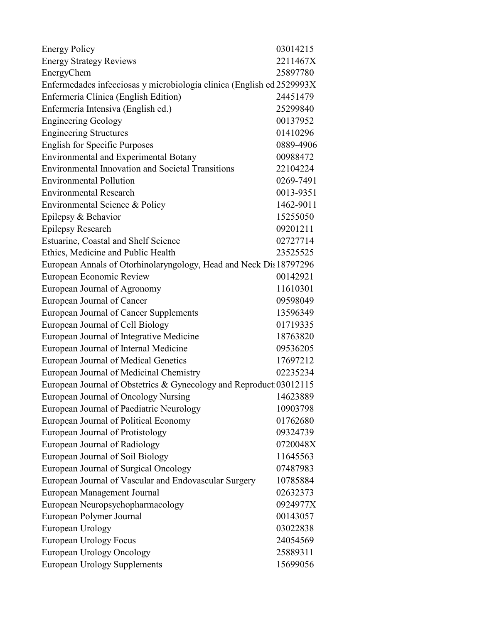| <b>Energy Policy</b>                                                  | 03014215  |
|-----------------------------------------------------------------------|-----------|
| <b>Energy Strategy Reviews</b>                                        | 2211467X  |
| EnergyChem                                                            | 25897780  |
| Enfermedades infecciosas y microbiologia clinica (English ed 2529993X |           |
| Enfermería Clínica (English Edition)                                  | 24451479  |
| Enfermería Intensiva (English ed.)                                    | 25299840  |
| <b>Engineering Geology</b>                                            | 00137952  |
| <b>Engineering Structures</b>                                         | 01410296  |
| <b>English for Specific Purposes</b>                                  | 0889-4906 |
| Environmental and Experimental Botany                                 | 00988472  |
| <b>Environmental Innovation and Societal Transitions</b>              | 22104224  |
| <b>Environmental Pollution</b>                                        | 0269-7491 |
| <b>Environmental Research</b>                                         | 0013-9351 |
| Environmental Science & Policy                                        | 1462-9011 |
| Epilepsy & Behavior                                                   | 15255050  |
| <b>Epilepsy Research</b>                                              | 09201211  |
| Estuarine, Coastal and Shelf Science                                  | 02727714  |
| Ethics, Medicine and Public Health                                    | 23525525  |
| European Annals of Otorhinolaryngology, Head and Neck Dis 18797296    |           |
| European Economic Review                                              | 00142921  |
| European Journal of Agronomy                                          | 11610301  |
| European Journal of Cancer                                            | 09598049  |
| European Journal of Cancer Supplements                                | 13596349  |
| European Journal of Cell Biology                                      | 01719335  |
| European Journal of Integrative Medicine                              | 18763820  |
| European Journal of Internal Medicine                                 | 09536205  |
| European Journal of Medical Genetics                                  | 17697212  |
| European Journal of Medicinal Chemistry                               | 02235234  |
| European Journal of Obstetrics & Gynecology and Reproduct 03012115    |           |
| European Journal of Oncology Nursing<br>14623889                      |           |
| European Journal of Paediatric Neurology                              | 10903798  |
| European Journal of Political Economy                                 | 01762680  |
| European Journal of Protistology                                      | 09324739  |
| European Journal of Radiology                                         | 0720048X  |
| European Journal of Soil Biology                                      | 11645563  |
| European Journal of Surgical Oncology                                 | 07487983  |
| European Journal of Vascular and Endovascular Surgery                 | 10785884  |
| European Management Journal                                           | 02632373  |
| European Neuropsychopharmacology                                      | 0924977X  |
| European Polymer Journal                                              | 00143057  |
| European Urology                                                      | 03022838  |
| <b>European Urology Focus</b>                                         | 24054569  |
| <b>European Urology Oncology</b>                                      | 25889311  |
| <b>European Urology Supplements</b>                                   | 15699056  |
|                                                                       |           |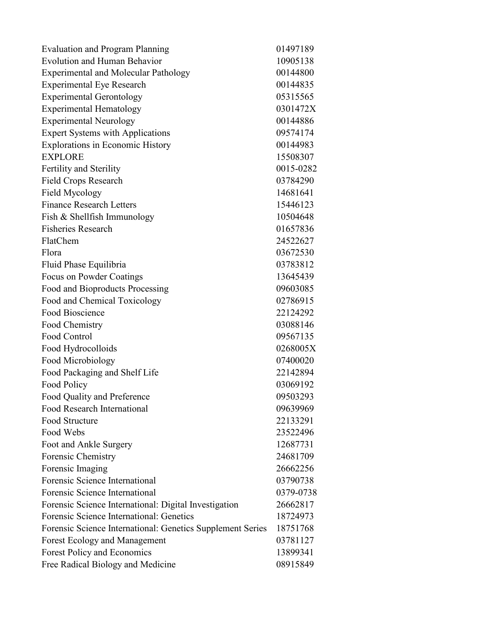| <b>Evaluation and Program Planning</b>                     | 01497189  |
|------------------------------------------------------------|-----------|
| <b>Evolution and Human Behavior</b>                        | 10905138  |
| <b>Experimental and Molecular Pathology</b>                | 00144800  |
| <b>Experimental Eye Research</b>                           | 00144835  |
| <b>Experimental Gerontology</b>                            | 05315565  |
| <b>Experimental Hematology</b>                             | 0301472X  |
| <b>Experimental Neurology</b>                              | 00144886  |
| <b>Expert Systems with Applications</b>                    | 09574174  |
| <b>Explorations in Economic History</b>                    | 00144983  |
| <b>EXPLORE</b>                                             | 15508307  |
| Fertility and Sterility                                    | 0015-0282 |
| Field Crops Research                                       | 03784290  |
| Field Mycology                                             | 14681641  |
| <b>Finance Research Letters</b>                            | 15446123  |
| Fish & Shellfish Immunology                                | 10504648  |
| <b>Fisheries Research</b>                                  | 01657836  |
| FlatChem                                                   | 24522627  |
| Flora                                                      | 03672530  |
| Fluid Phase Equilibria                                     | 03783812  |
| Focus on Powder Coatings                                   | 13645439  |
| Food and Bioproducts Processing                            | 09603085  |
| Food and Chemical Toxicology                               | 02786915  |
| Food Bioscience                                            | 22124292  |
| Food Chemistry                                             | 03088146  |
| Food Control                                               | 09567135  |
| Food Hydrocolloids                                         | 0268005X  |
| Food Microbiology                                          | 07400020  |
| Food Packaging and Shelf Life                              | 22142894  |
| Food Policy                                                | 03069192  |
| Food Quality and Preference                                | 09503293  |
| Food Research International                                | 09639969  |
| Food Structure                                             | 22133291  |
| Food Webs                                                  | 23522496  |
| Foot and Ankle Surgery                                     | 12687731  |
| Forensic Chemistry                                         | 24681709  |
| Forensic Imaging                                           | 26662256  |
| Forensic Science International                             | 03790738  |
| Forensic Science International                             | 0379-0738 |
| Forensic Science International: Digital Investigation      | 26662817  |
| Forensic Science International: Genetics                   | 18724973  |
| Forensic Science International: Genetics Supplement Series | 18751768  |
| <b>Forest Ecology and Management</b>                       | 03781127  |
| Forest Policy and Economics                                | 13899341  |
| Free Radical Biology and Medicine                          | 08915849  |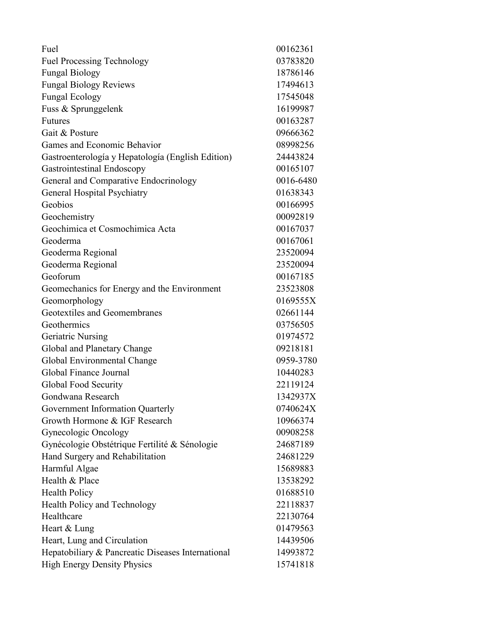| Fuel                                              | 00162361  |
|---------------------------------------------------|-----------|
| <b>Fuel Processing Technology</b>                 | 03783820  |
| <b>Fungal Biology</b>                             | 18786146  |
| <b>Fungal Biology Reviews</b>                     | 17494613  |
| <b>Fungal Ecology</b>                             | 17545048  |
| Fuss & Sprunggelenk                               | 16199987  |
| <b>Futures</b>                                    | 00163287  |
| Gait & Posture                                    | 09666362  |
| Games and Economic Behavior                       | 08998256  |
| Gastroenterología y Hepatología (English Edition) | 24443824  |
| Gastrointestinal Endoscopy                        | 00165107  |
| General and Comparative Endocrinology             | 0016-6480 |
| <b>General Hospital Psychiatry</b>                | 01638343  |
| Geobios                                           | 00166995  |
| Geochemistry                                      | 00092819  |
| Geochimica et Cosmochimica Acta                   | 00167037  |
| Geoderma                                          | 00167061  |
| Geoderma Regional                                 | 23520094  |
| Geoderma Regional                                 | 23520094  |
| Geoforum                                          | 00167185  |
| Geomechanics for Energy and the Environment       | 23523808  |
| Geomorphology                                     | 0169555X  |
| Geotextiles and Geomembranes                      | 02661144  |
| Geothermics                                       | 03756505  |
| <b>Geriatric Nursing</b>                          | 01974572  |
| Global and Planetary Change                       | 09218181  |
| Global Environmental Change                       | 0959-3780 |
| Global Finance Journal                            | 10440283  |
| Global Food Security                              | 22119124  |
| Gondwana Research                                 | 1342937X  |
| Government Information Quarterly                  | 0740624X  |
| Growth Hormone & IGF Research                     | 10966374  |
| Gynecologic Oncology                              | 00908258  |
| Gynécologie Obstétrique Fertilité & Sénologie     | 24687189  |
| Hand Surgery and Rehabilitation                   | 24681229  |
| Harmful Algae                                     | 15689883  |
| Health & Place                                    | 13538292  |
| <b>Health Policy</b>                              | 01688510  |
| Health Policy and Technology                      | 22118837  |
| Healthcare                                        | 22130764  |
| Heart & Lung                                      | 01479563  |
| Heart, Lung and Circulation                       | 14439506  |
| Hepatobiliary & Pancreatic Diseases International | 14993872  |
| <b>High Energy Density Physics</b>                | 15741818  |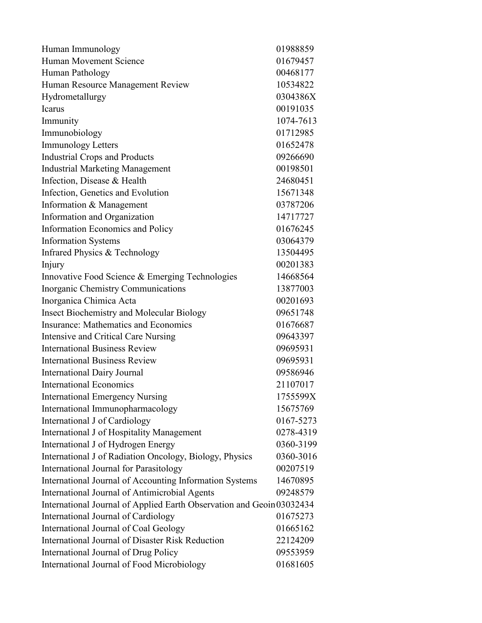| Human Movement Science<br>01679457                                    |          |
|-----------------------------------------------------------------------|----------|
|                                                                       |          |
| Human Pathology                                                       | 00468177 |
| Human Resource Management Review<br>10534822                          |          |
| Hydrometallurgy<br>0304386X                                           |          |
| 00191035<br>Icarus                                                    |          |
| Immunity<br>1074-7613                                                 |          |
| Immunobiology<br>01712985                                             |          |
| <b>Immunology Letters</b><br>01652478                                 |          |
| <b>Industrial Crops and Products</b><br>09266690                      |          |
| <b>Industrial Marketing Management</b><br>00198501                    |          |
| Infection, Disease & Health<br>24680451                               |          |
| Infection, Genetics and Evolution<br>15671348                         |          |
| 03787206<br>Information & Management                                  |          |
| Information and Organization<br>14717727                              |          |
| Information Economics and Policy<br>01676245                          |          |
| <b>Information Systems</b><br>03064379                                |          |
| Infrared Physics & Technology<br>13504495                             |          |
| 00201383<br>Injury                                                    |          |
| Innovative Food Science & Emerging Technologies<br>14668564           |          |
| 13877003<br>Inorganic Chemistry Communications                        |          |
| Inorganica Chimica Acta<br>00201693                                   |          |
| Insect Biochemistry and Molecular Biology<br>09651748                 |          |
| Insurance: Mathematics and Economics<br>01676687                      |          |
| 09643397<br>Intensive and Critical Care Nursing                       |          |
| <b>International Business Review</b><br>09695931                      |          |
| <b>International Business Review</b><br>09695931                      |          |
| <b>International Dairy Journal</b><br>09586946                        |          |
| <b>International Economics</b><br>21107017                            |          |
| <b>International Emergency Nursing</b><br>1755599X                    |          |
| International Immunopharmacology<br>15675769                          |          |
| International J of Cardiology<br>0167-5273                            |          |
| International J of Hospitality Management<br>0278-4319                |          |
| International J of Hydrogen Energy<br>0360-3199                       |          |
| International J of Radiation Oncology, Biology, Physics<br>0360-3016  |          |
| International Journal for Parasitology<br>00207519                    |          |
| International Journal of Accounting Information Systems<br>14670895   |          |
| International Journal of Antimicrobial Agents<br>09248579             |          |
| International Journal of Applied Earth Observation and Geoin 03032434 |          |
| International Journal of Cardiology<br>01675273                       |          |
| International Journal of Coal Geology<br>01665162                     |          |
| International Journal of Disaster Risk Reduction<br>22124209          |          |
| 09553959<br>International Journal of Drug Policy                      |          |
| International Journal of Food Microbiology<br>01681605                |          |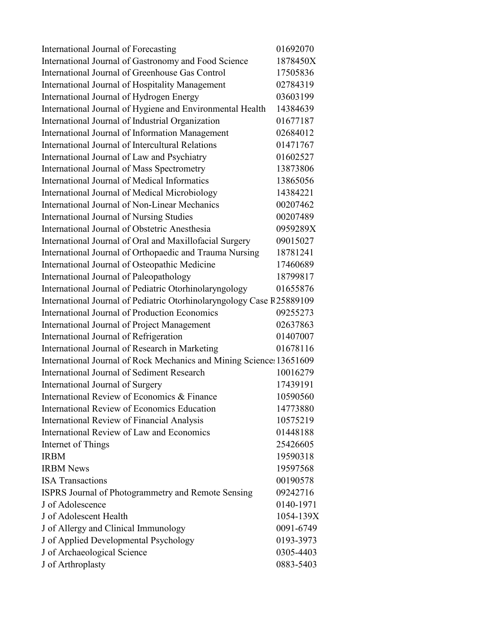| International Journal of Forecasting                                  | 01692070  |
|-----------------------------------------------------------------------|-----------|
| International Journal of Gastronomy and Food Science                  | 1878450X  |
| International Journal of Greenhouse Gas Control                       | 17505836  |
| International Journal of Hospitality Management                       | 02784319  |
| International Journal of Hydrogen Energy                              | 03603199  |
| International Journal of Hygiene and Environmental Health             | 14384639  |
| International Journal of Industrial Organization                      | 01677187  |
| International Journal of Information Management                       | 02684012  |
| International Journal of Intercultural Relations                      | 01471767  |
| International Journal of Law and Psychiatry                           | 01602527  |
| International Journal of Mass Spectrometry                            | 13873806  |
| International Journal of Medical Informatics                          | 13865056  |
| International Journal of Medical Microbiology                         | 14384221  |
| International Journal of Non-Linear Mechanics                         | 00207462  |
| <b>International Journal of Nursing Studies</b>                       | 00207489  |
| International Journal of Obstetric Anesthesia                         | 0959289X  |
| International Journal of Oral and Maxillofacial Surgery               | 09015027  |
| International Journal of Orthopaedic and Trauma Nursing               | 18781241  |
| International Journal of Osteopathic Medicine                         | 17460689  |
| International Journal of Paleopathology                               | 18799817  |
| International Journal of Pediatric Otorhinolaryngology                | 01655876  |
| International Journal of Pediatric Otorhinolaryngology Case R25889109 |           |
| International Journal of Production Economics                         | 09255273  |
| International Journal of Project Management                           | 02637863  |
| International Journal of Refrigeration                                | 01407007  |
| International Journal of Research in Marketing                        | 01678116  |
| International Journal of Rock Mechanics and Mining Science: 13651609  |           |
| International Journal of Sediment Research                            | 10016279  |
| International Journal of Surgery                                      | 17439191  |
| International Review of Economics & Finance                           | 10590560  |
| International Review of Economics Education                           | 14773880  |
| <b>International Review of Financial Analysis</b>                     | 10575219  |
| International Review of Law and Economics                             | 01448188  |
| <b>Internet of Things</b>                                             | 25426605  |
| <b>IRBM</b>                                                           | 19590318  |
| <b>IRBM News</b>                                                      | 19597568  |
| <b>ISA</b> Transactions                                               | 00190578  |
| ISPRS Journal of Photogrammetry and Remote Sensing                    | 09242716  |
| J of Adolescence                                                      | 0140-1971 |
| J of Adolescent Health                                                | 1054-139X |
| J of Allergy and Clinical Immunology                                  | 0091-6749 |
| J of Applied Developmental Psychology                                 | 0193-3973 |
| J of Archaeological Science                                           | 0305-4403 |
| J of Arthroplasty                                                     | 0883-5403 |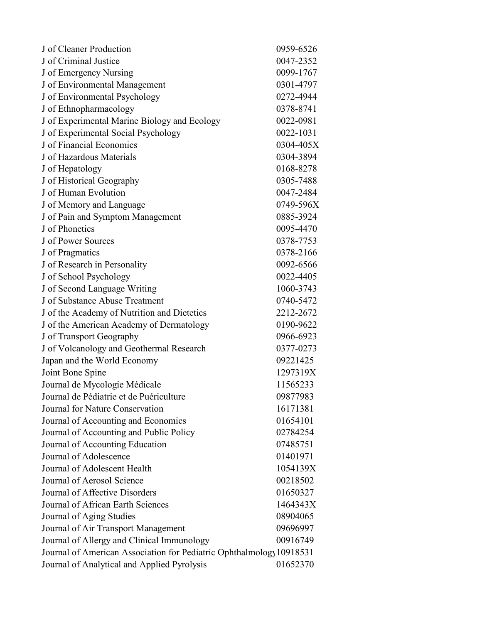| J of Cleaner Production                                              | 0959-6526 |
|----------------------------------------------------------------------|-----------|
| J of Criminal Justice                                                | 0047-2352 |
| J of Emergency Nursing                                               | 0099-1767 |
| J of Environmental Management                                        | 0301-4797 |
| J of Environmental Psychology                                        | 0272-4944 |
| J of Ethnopharmacology                                               | 0378-8741 |
| J of Experimental Marine Biology and Ecology                         | 0022-0981 |
| J of Experimental Social Psychology                                  | 0022-1031 |
| J of Financial Economics                                             | 0304-405X |
| J of Hazardous Materials                                             | 0304-3894 |
| J of Hepatology                                                      | 0168-8278 |
| J of Historical Geography                                            | 0305-7488 |
| J of Human Evolution                                                 | 0047-2484 |
| J of Memory and Language                                             | 0749-596X |
| J of Pain and Symptom Management                                     | 0885-3924 |
| J of Phonetics                                                       | 0095-4470 |
| J of Power Sources                                                   | 0378-7753 |
| J of Pragmatics                                                      | 0378-2166 |
| J of Research in Personality                                         | 0092-6566 |
| J of School Psychology                                               | 0022-4405 |
| J of Second Language Writing                                         | 1060-3743 |
| J of Substance Abuse Treatment                                       | 0740-5472 |
| J of the Academy of Nutrition and Dietetics                          | 2212-2672 |
| J of the American Academy of Dermatology                             | 0190-9622 |
| J of Transport Geography                                             | 0966-6923 |
| J of Volcanology and Geothermal Research                             | 0377-0273 |
| Japan and the World Economy                                          | 09221425  |
| Joint Bone Spine                                                     | 1297319X  |
| Journal de Mycologie Médicale                                        | 11565233  |
| Journal de Pédiatrie et de Puériculture                              | 09877983  |
| Journal for Nature Conservation                                      | 16171381  |
| Journal of Accounting and Economics                                  | 01654101  |
| Journal of Accounting and Public Policy                              | 02784254  |
| Journal of Accounting Education                                      | 07485751  |
| Journal of Adolescence                                               | 01401971  |
| Journal of Adolescent Health                                         | 1054139X  |
| Journal of Aerosol Science                                           | 00218502  |
| Journal of Affective Disorders                                       | 01650327  |
| Journal of African Earth Sciences                                    | 1464343X  |
| Journal of Aging Studies                                             | 08904065  |
| Journal of Air Transport Management                                  | 09696997  |
| Journal of Allergy and Clinical Immunology                           | 00916749  |
| Journal of American Association for Pediatric Ophthalmology 10918531 |           |
| Journal of Analytical and Applied Pyrolysis                          | 01652370  |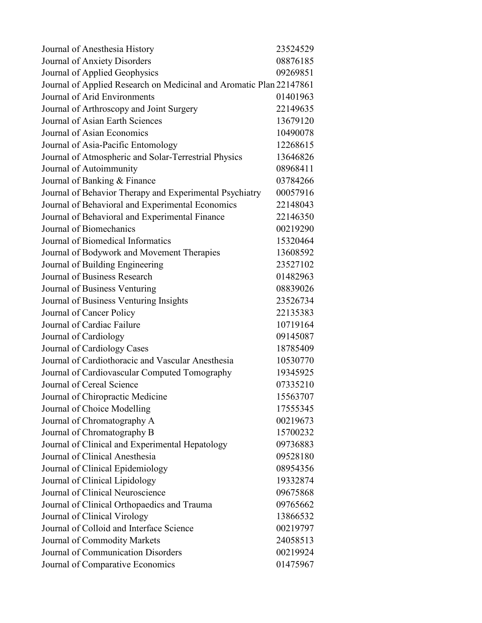| Journal of Anesthesia History                                       | 23524529 |
|---------------------------------------------------------------------|----------|
| Journal of Anxiety Disorders                                        | 08876185 |
| Journal of Applied Geophysics                                       | 09269851 |
| Journal of Applied Research on Medicinal and Aromatic Plan 22147861 |          |
| Journal of Arid Environments                                        | 01401963 |
| Journal of Arthroscopy and Joint Surgery                            | 22149635 |
| Journal of Asian Earth Sciences                                     | 13679120 |
| Journal of Asian Economics                                          | 10490078 |
| Journal of Asia-Pacific Entomology                                  | 12268615 |
| Journal of Atmospheric and Solar-Terrestrial Physics                | 13646826 |
| Journal of Autoimmunity                                             | 08968411 |
| Journal of Banking & Finance                                        | 03784266 |
| Journal of Behavior Therapy and Experimental Psychiatry             | 00057916 |
| Journal of Behavioral and Experimental Economics                    | 22148043 |
| Journal of Behavioral and Experimental Finance                      | 22146350 |
| Journal of Biomechanics                                             | 00219290 |
| Journal of Biomedical Informatics                                   | 15320464 |
| Journal of Bodywork and Movement Therapies                          | 13608592 |
| Journal of Building Engineering                                     | 23527102 |
| Journal of Business Research                                        | 01482963 |
| Journal of Business Venturing                                       | 08839026 |
| Journal of Business Venturing Insights                              | 23526734 |
| Journal of Cancer Policy                                            | 22135383 |
| Journal of Cardiac Failure                                          | 10719164 |
| Journal of Cardiology                                               | 09145087 |
| Journal of Cardiology Cases                                         | 18785409 |
| Journal of Cardiothoracic and Vascular Anesthesia                   | 10530770 |
| Journal of Cardiovascular Computed Tomography                       | 19345925 |
| Journal of Cereal Science                                           | 07335210 |
| Journal of Chiropractic Medicine                                    | 15563707 |
| Journal of Choice Modelling                                         | 17555345 |
| Journal of Chromatography A                                         | 00219673 |
| Journal of Chromatography B                                         | 15700232 |
| Journal of Clinical and Experimental Hepatology                     | 09736883 |
| Journal of Clinical Anesthesia                                      | 09528180 |
| Journal of Clinical Epidemiology                                    | 08954356 |
| Journal of Clinical Lipidology                                      | 19332874 |
| Journal of Clinical Neuroscience                                    | 09675868 |
| Journal of Clinical Orthopaedics and Trauma                         | 09765662 |
| Journal of Clinical Virology                                        | 13866532 |
| Journal of Colloid and Interface Science                            | 00219797 |
| Journal of Commodity Markets                                        | 24058513 |
| Journal of Communication Disorders                                  | 00219924 |
| Journal of Comparative Economics                                    | 01475967 |
|                                                                     |          |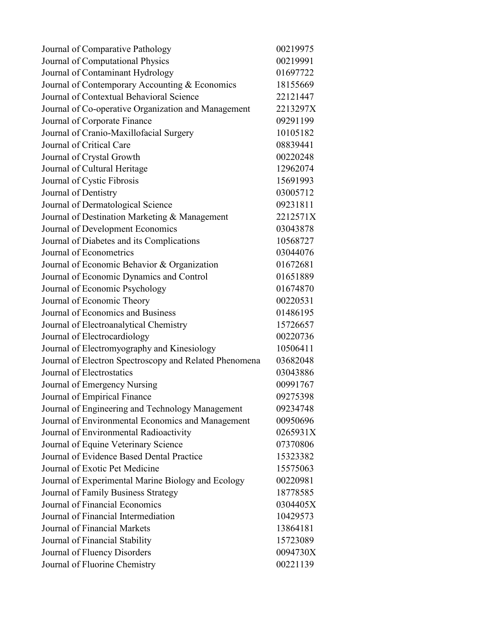| Journal of Comparative Pathology                       | 00219975 |
|--------------------------------------------------------|----------|
| Journal of Computational Physics                       | 00219991 |
| Journal of Contaminant Hydrology                       | 01697722 |
| Journal of Contemporary Accounting & Economics         | 18155669 |
| Journal of Contextual Behavioral Science               | 22121447 |
| Journal of Co-operative Organization and Management    | 2213297X |
| Journal of Corporate Finance                           | 09291199 |
| Journal of Cranio-Maxillofacial Surgery                | 10105182 |
| Journal of Critical Care                               | 08839441 |
| Journal of Crystal Growth                              | 00220248 |
| Journal of Cultural Heritage                           | 12962074 |
| Journal of Cystic Fibrosis                             | 15691993 |
| Journal of Dentistry                                   | 03005712 |
| Journal of Dermatological Science                      | 09231811 |
| Journal of Destination Marketing & Management          | 2212571X |
| Journal of Development Economics                       | 03043878 |
| Journal of Diabetes and its Complications              | 10568727 |
| Journal of Econometrics                                | 03044076 |
| Journal of Economic Behavior & Organization            | 01672681 |
| Journal of Economic Dynamics and Control               | 01651889 |
| Journal of Economic Psychology                         | 01674870 |
| Journal of Economic Theory                             | 00220531 |
| Journal of Economics and Business                      | 01486195 |
| Journal of Electroanalytical Chemistry                 | 15726657 |
| Journal of Electrocardiology                           | 00220736 |
| Journal of Electromyography and Kinesiology            | 10506411 |
| Journal of Electron Spectroscopy and Related Phenomena | 03682048 |
| Journal of Electrostatics                              | 03043886 |
| Journal of Emergency Nursing                           | 00991767 |
| Journal of Empirical Finance                           | 09275398 |
| Journal of Engineering and Technology Management       | 09234748 |
| Journal of Environmental Economics and Management      | 00950696 |
| Journal of Environmental Radioactivity                 | 0265931X |
| Journal of Equine Veterinary Science                   | 07370806 |
| Journal of Evidence Based Dental Practice              | 15323382 |
| Journal of Exotic Pet Medicine                         | 15575063 |
| Journal of Experimental Marine Biology and Ecology     | 00220981 |
| Journal of Family Business Strategy                    | 18778585 |
| Journal of Financial Economics                         | 0304405X |
| Journal of Financial Intermediation                    | 10429573 |
| Journal of Financial Markets                           | 13864181 |
| Journal of Financial Stability                         | 15723089 |
| Journal of Fluency Disorders                           | 0094730X |
| Journal of Fluorine Chemistry                          | 00221139 |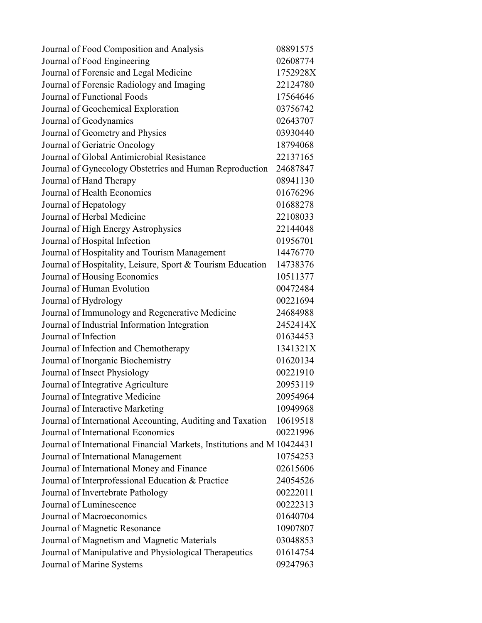| Journal of Food Composition and Analysis                                | 08891575 |
|-------------------------------------------------------------------------|----------|
| Journal of Food Engineering                                             | 02608774 |
| Journal of Forensic and Legal Medicine                                  | 1752928X |
| Journal of Forensic Radiology and Imaging                               | 22124780 |
| Journal of Functional Foods                                             | 17564646 |
| Journal of Geochemical Exploration                                      | 03756742 |
| Journal of Geodynamics                                                  | 02643707 |
| Journal of Geometry and Physics                                         | 03930440 |
| Journal of Geriatric Oncology                                           | 18794068 |
| Journal of Global Antimicrobial Resistance                              | 22137165 |
| Journal of Gynecology Obstetrics and Human Reproduction                 | 24687847 |
| Journal of Hand Therapy                                                 | 08941130 |
| Journal of Health Economics                                             | 01676296 |
| Journal of Hepatology                                                   | 01688278 |
| Journal of Herbal Medicine                                              | 22108033 |
| Journal of High Energy Astrophysics                                     | 22144048 |
| Journal of Hospital Infection                                           | 01956701 |
| Journal of Hospitality and Tourism Management                           | 14476770 |
| Journal of Hospitality, Leisure, Sport & Tourism Education              | 14738376 |
| Journal of Housing Economics                                            | 10511377 |
| Journal of Human Evolution                                              | 00472484 |
| Journal of Hydrology                                                    | 00221694 |
| Journal of Immunology and Regenerative Medicine                         | 24684988 |
| Journal of Industrial Information Integration                           | 2452414X |
| Journal of Infection                                                    | 01634453 |
| Journal of Infection and Chemotherapy                                   | 1341321X |
| Journal of Inorganic Biochemistry                                       | 01620134 |
| Journal of Insect Physiology                                            | 00221910 |
| Journal of Integrative Agriculture                                      | 20953119 |
| Journal of Integrative Medicine                                         | 20954964 |
| Journal of Interactive Marketing                                        | 10949968 |
| Journal of International Accounting, Auditing and Taxation              | 10619518 |
| Journal of International Economics                                      | 00221996 |
| Journal of International Financial Markets, Institutions and M 10424431 |          |
| Journal of International Management                                     | 10754253 |
| Journal of International Money and Finance                              | 02615606 |
| Journal of Interprofessional Education & Practice                       | 24054526 |
| Journal of Invertebrate Pathology                                       | 00222011 |
| Journal of Luminescence                                                 | 00222313 |
| Journal of Macroeconomics                                               | 01640704 |
| Journal of Magnetic Resonance                                           | 10907807 |
| Journal of Magnetism and Magnetic Materials                             | 03048853 |
| Journal of Manipulative and Physiological Therapeutics                  | 01614754 |
| Journal of Marine Systems                                               | 09247963 |
|                                                                         |          |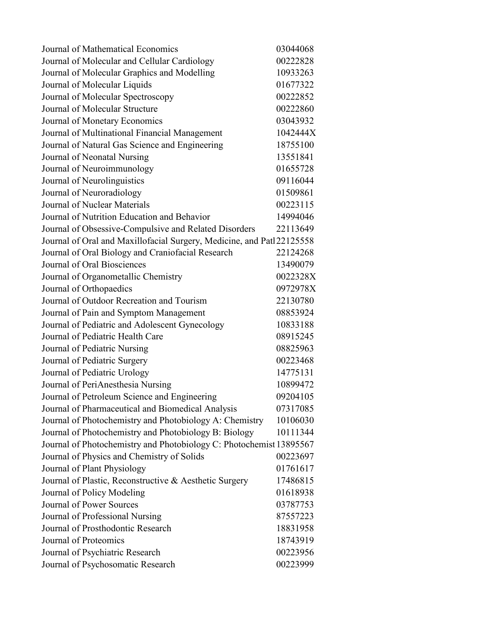| Journal of Mathematical Economics                                      | 03044068 |
|------------------------------------------------------------------------|----------|
| Journal of Molecular and Cellular Cardiology                           | 00222828 |
| Journal of Molecular Graphics and Modelling                            | 10933263 |
| Journal of Molecular Liquids                                           | 01677322 |
| Journal of Molecular Spectroscopy                                      | 00222852 |
| Journal of Molecular Structure                                         | 00222860 |
| Journal of Monetary Economics                                          | 03043932 |
| Journal of Multinational Financial Management                          | 1042444X |
| Journal of Natural Gas Science and Engineering                         | 18755100 |
| Journal of Neonatal Nursing                                            | 13551841 |
| Journal of Neuroimmunology                                             | 01655728 |
| Journal of Neurolinguistics                                            | 09116044 |
| Journal of Neuroradiology                                              | 01509861 |
| Journal of Nuclear Materials                                           | 00223115 |
| Journal of Nutrition Education and Behavior                            | 14994046 |
| Journal of Obsessive-Compulsive and Related Disorders                  | 22113649 |
| Journal of Oral and Maxillofacial Surgery, Medicine, and Patl 22125558 |          |
| Journal of Oral Biology and Craniofacial Research                      | 22124268 |
| Journal of Oral Biosciences                                            | 13490079 |
| Journal of Organometallic Chemistry                                    | 0022328X |
| Journal of Orthopaedics                                                | 0972978X |
| Journal of Outdoor Recreation and Tourism                              | 22130780 |
| Journal of Pain and Symptom Management                                 | 08853924 |
| Journal of Pediatric and Adolescent Gynecology                         | 10833188 |
| Journal of Pediatric Health Care                                       | 08915245 |
| Journal of Pediatric Nursing                                           | 08825963 |
| Journal of Pediatric Surgery                                           | 00223468 |
| Journal of Pediatric Urology                                           | 14775131 |
| Journal of PeriAnesthesia Nursing                                      | 10899472 |
| Journal of Petroleum Science and Engineering                           | 09204105 |
| Journal of Pharmaceutical and Biomedical Analysis                      | 07317085 |
| Journal of Photochemistry and Photobiology A: Chemistry                | 10106030 |
| Journal of Photochemistry and Photobiology B: Biology                  | 10111344 |
| Journal of Photochemistry and Photobiology C: Photochemist 13895567    |          |
| Journal of Physics and Chemistry of Solids                             | 00223697 |
| Journal of Plant Physiology                                            | 01761617 |
| Journal of Plastic, Reconstructive & Aesthetic Surgery                 | 17486815 |
| Journal of Policy Modeling                                             | 01618938 |
| <b>Journal of Power Sources</b>                                        | 03787753 |
| Journal of Professional Nursing                                        | 87557223 |
| Journal of Prosthodontic Research                                      | 18831958 |
| Journal of Proteomics                                                  | 18743919 |
| Journal of Psychiatric Research                                        | 00223956 |
| Journal of Psychosomatic Research                                      | 00223999 |
|                                                                        |          |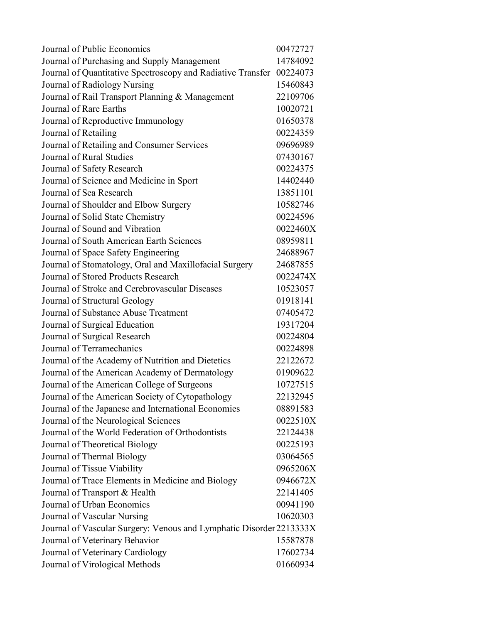| Journal of Public Economics                                          | 00472727 |
|----------------------------------------------------------------------|----------|
| Journal of Purchasing and Supply Management                          | 14784092 |
| Journal of Quantitative Spectroscopy and Radiative Transfer 00224073 |          |
| Journal of Radiology Nursing                                         | 15460843 |
| Journal of Rail Transport Planning & Management                      | 22109706 |
| Journal of Rare Earths                                               | 10020721 |
| Journal of Reproductive Immunology                                   | 01650378 |
| Journal of Retailing                                                 | 00224359 |
| Journal of Retailing and Consumer Services                           | 09696989 |
| Journal of Rural Studies                                             | 07430167 |
| Journal of Safety Research                                           | 00224375 |
| Journal of Science and Medicine in Sport                             | 14402440 |
| Journal of Sea Research                                              | 13851101 |
| Journal of Shoulder and Elbow Surgery                                | 10582746 |
| Journal of Solid State Chemistry                                     | 00224596 |
| Journal of Sound and Vibration                                       | 0022460X |
| Journal of South American Earth Sciences                             | 08959811 |
| Journal of Space Safety Engineering                                  | 24688967 |
| Journal of Stomatology, Oral and Maxillofacial Surgery               | 24687855 |
| Journal of Stored Products Research                                  | 0022474X |
| Journal of Stroke and Cerebrovascular Diseases                       | 10523057 |
| Journal of Structural Geology                                        | 01918141 |
| Journal of Substance Abuse Treatment                                 | 07405472 |
| Journal of Surgical Education                                        | 19317204 |
| Journal of Surgical Research                                         | 00224804 |
| Journal of Terramechanics                                            | 00224898 |
| Journal of the Academy of Nutrition and Dietetics                    | 22122672 |
| Journal of the American Academy of Dermatology                       | 01909622 |
| Journal of the American College of Surgeons                          | 10727515 |
| Journal of the American Society of Cytopathology                     | 22132945 |
| Journal of the Japanese and International Economies                  | 08891583 |
| Journal of the Neurological Sciences                                 | 0022510X |
| Journal of the World Federation of Orthodontists                     | 22124438 |
| Journal of Theoretical Biology                                       | 00225193 |
| Journal of Thermal Biology                                           | 03064565 |
| Journal of Tissue Viability                                          | 0965206X |
| Journal of Trace Elements in Medicine and Biology                    | 0946672X |
| Journal of Transport & Health                                        | 22141405 |
| Journal of Urban Economics                                           | 00941190 |
| Journal of Vascular Nursing                                          | 10620303 |
| Journal of Vascular Surgery: Venous and Lymphatic Disorder 2213333X  |          |
| Journal of Veterinary Behavior                                       | 15587878 |
| Journal of Veterinary Cardiology                                     | 17602734 |
| Journal of Virological Methods                                       | 01660934 |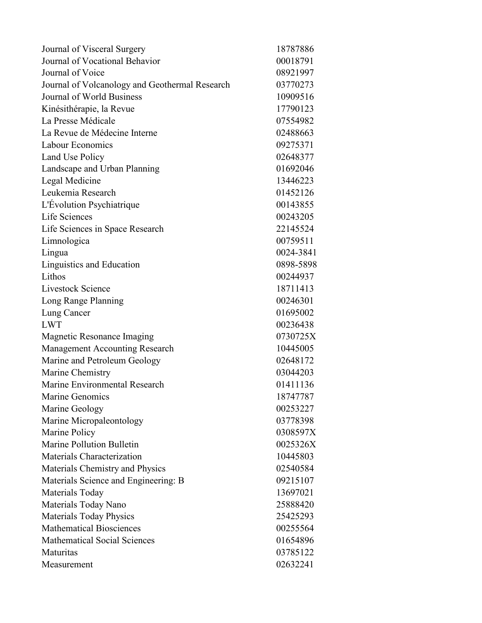| Journal of Visceral Surgery                    | 18787886  |
|------------------------------------------------|-----------|
| Journal of Vocational Behavior                 | 00018791  |
| Journal of Voice                               | 08921997  |
| Journal of Volcanology and Geothermal Research | 03770273  |
| Journal of World Business                      | 10909516  |
| Kinésithérapie, la Revue                       | 17790123  |
| La Presse Médicale                             | 07554982  |
| La Revue de Médecine Interne                   | 02488663  |
| Labour Economics                               | 09275371  |
| Land Use Policy                                | 02648377  |
| Landscape and Urban Planning                   | 01692046  |
| Legal Medicine                                 | 13446223  |
| Leukemia Research                              | 01452126  |
| L'Évolution Psychiatrique                      | 00143855  |
| Life Sciences                                  | 00243205  |
| Life Sciences in Space Research                | 22145524  |
| Limnologica                                    | 00759511  |
| Lingua                                         | 0024-3841 |
| Linguistics and Education                      | 0898-5898 |
| Lithos                                         | 00244937  |
| Livestock Science                              | 18711413  |
| Long Range Planning                            | 00246301  |
| Lung Cancer                                    | 01695002  |
| <b>LWT</b>                                     | 00236438  |
| Magnetic Resonance Imaging                     | 0730725X  |
| <b>Management Accounting Research</b>          | 10445005  |
| Marine and Petroleum Geology                   | 02648172  |
| Marine Chemistry                               | 03044203  |
| Marine Environmental Research                  | 01411136  |
| Marine Genomics                                | 18747787  |
| Marine Geology                                 | 00253227  |
| Marine Micropaleontology                       | 03778398  |
| Marine Policy                                  | 0308597X  |
| Marine Pollution Bulletin                      | 0025326X  |
| Materials Characterization                     | 10445803  |
| Materials Chemistry and Physics                | 02540584  |
| Materials Science and Engineering: B           | 09215107  |
| Materials Today                                | 13697021  |
| Materials Today Nano                           | 25888420  |
| <b>Materials Today Physics</b>                 | 25425293  |
| <b>Mathematical Biosciences</b>                | 00255564  |
| <b>Mathematical Social Sciences</b>            | 01654896  |
| Maturitas                                      | 03785122  |
| Measurement                                    | 02632241  |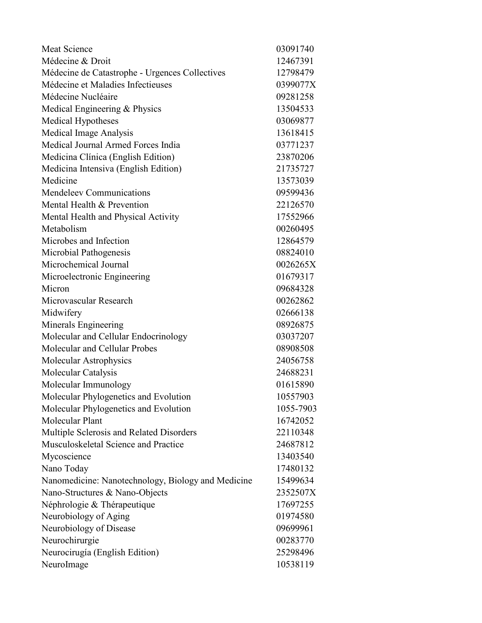| <b>Meat Science</b>                                | 03091740  |
|----------------------------------------------------|-----------|
| Médecine & Droit                                   | 12467391  |
| Médecine de Catastrophe - Urgences Collectives     | 12798479  |
| Médecine et Maladies Infectieuses                  | 0399077X  |
| Médecine Nucléaire                                 | 09281258  |
| Medical Engineering & Physics                      | 13504533  |
| Medical Hypotheses                                 | 03069877  |
| Medical Image Analysis                             | 13618415  |
| Medical Journal Armed Forces India                 | 03771237  |
| Medicina Clínica (English Edition)                 | 23870206  |
| Medicina Intensiva (English Edition)               | 21735727  |
| Medicine                                           | 13573039  |
| Mendeleev Communications                           | 09599436  |
| Mental Health & Prevention                         | 22126570  |
| Mental Health and Physical Activity                | 17552966  |
| Metabolism                                         | 00260495  |
| Microbes and Infection                             | 12864579  |
| Microbial Pathogenesis                             | 08824010  |
| Microchemical Journal                              | 0026265X  |
| Microelectronic Engineering                        | 01679317  |
| Micron                                             | 09684328  |
| Microvascular Research                             | 00262862  |
| Midwifery                                          | 02666138  |
| Minerals Engineering                               | 08926875  |
| Molecular and Cellular Endocrinology               | 03037207  |
| Molecular and Cellular Probes                      | 08908508  |
| Molecular Astrophysics                             | 24056758  |
| Molecular Catalysis                                | 24688231  |
| Molecular Immunology                               | 01615890  |
| Molecular Phylogenetics and Evolution              | 10557903  |
| Molecular Phylogenetics and Evolution              | 1055-7903 |
| Molecular Plant                                    | 16742052  |
| Multiple Sclerosis and Related Disorders           | 22110348  |
| Musculoskeletal Science and Practice               | 24687812  |
| Mycoscience                                        | 13403540  |
| Nano Today                                         | 17480132  |
| Nanomedicine: Nanotechnology, Biology and Medicine | 15499634  |
| Nano-Structures & Nano-Objects                     | 2352507X  |
| Néphrologie & Thérapeutique                        | 17697255  |
| Neurobiology of Aging                              | 01974580  |
| Neurobiology of Disease                            | 09699961  |
| Neurochirurgie                                     | 00283770  |
| Neurocirugía (English Edition)                     | 25298496  |
| NeuroImage                                         | 10538119  |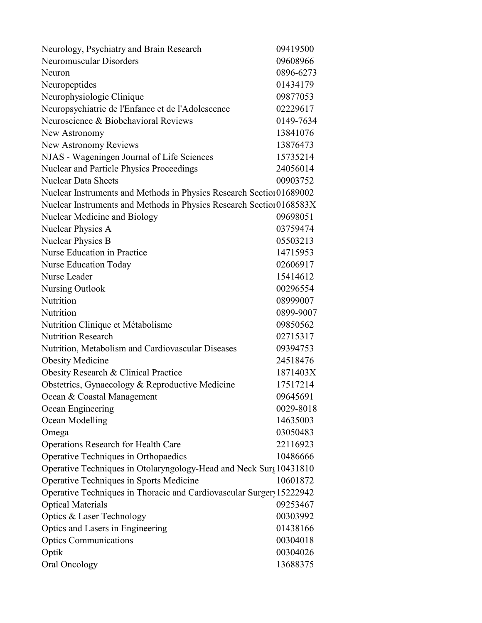| Neurology, Psychiatry and Brain Research                             | 09419500  |
|----------------------------------------------------------------------|-----------|
| <b>Neuromuscular Disorders</b>                                       | 09608966  |
| Neuron                                                               | 0896-6273 |
| Neuropeptides                                                        | 01434179  |
| Neurophysiologie Clinique                                            | 09877053  |
| Neuropsychiatrie de l'Enfance et de l'Adolescence                    | 02229617  |
| Neuroscience & Biobehavioral Reviews                                 | 0149-7634 |
| New Astronomy                                                        | 13841076  |
| New Astronomy Reviews                                                | 13876473  |
| NJAS - Wageningen Journal of Life Sciences                           | 15735214  |
| Nuclear and Particle Physics Proceedings                             | 24056014  |
| <b>Nuclear Data Sheets</b>                                           | 00903752  |
| Nuclear Instruments and Methods in Physics Research Section 01689002 |           |
| Nuclear Instruments and Methods in Physics Research Section 0168583X |           |
| Nuclear Medicine and Biology                                         | 09698051  |
| Nuclear Physics A                                                    | 03759474  |
| Nuclear Physics B                                                    | 05503213  |
| Nurse Education in Practice                                          | 14715953  |
| <b>Nurse Education Today</b>                                         | 02606917  |
| Nurse Leader                                                         | 15414612  |
| <b>Nursing Outlook</b>                                               | 00296554  |
| Nutrition                                                            | 08999007  |
| Nutrition                                                            | 0899-9007 |
| Nutrition Clinique et Métabolisme                                    | 09850562  |
| <b>Nutrition Research</b>                                            | 02715317  |
| Nutrition, Metabolism and Cardiovascular Diseases                    | 09394753  |
| <b>Obesity Medicine</b>                                              | 24518476  |
| Obesity Research & Clinical Practice                                 | 1871403X  |
| Obstetrics, Gynaecology & Reproductive Medicine                      | 17517214  |
| Ocean & Coastal Management                                           | 09645691  |
| Ocean Engineering                                                    | 0029-8018 |
| Ocean Modelling                                                      | 14635003  |
| Omega                                                                | 03050483  |
| <b>Operations Research for Health Care</b>                           | 22116923  |
| Operative Techniques in Orthopaedics                                 | 10486666  |
| Operative Techniques in Otolaryngology-Head and Neck Surg 10431810   |           |
| Operative Techniques in Sports Medicine                              | 10601872  |
| Operative Techniques in Thoracic and Cardiovascular Surger 15222942  |           |
| <b>Optical Materials</b>                                             | 09253467  |
| Optics & Laser Technology                                            | 00303992  |
| Optics and Lasers in Engineering                                     | 01438166  |
| <b>Optics Communications</b>                                         | 00304018  |
| Optik                                                                | 00304026  |
| Oral Oncology                                                        | 13688375  |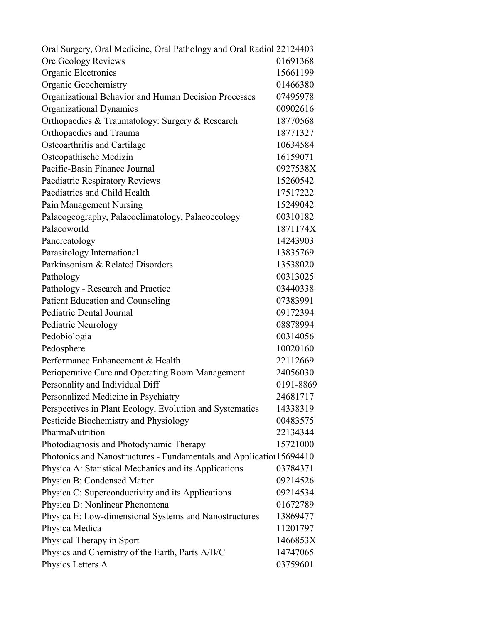| Oral Surgery, Oral Medicine, Oral Pathology and Oral Radiol 22124403 |           |
|----------------------------------------------------------------------|-----------|
| Ore Geology Reviews                                                  | 01691368  |
| Organic Electronics                                                  | 15661199  |
| <b>Organic Geochemistry</b>                                          | 01466380  |
| Organizational Behavior and Human Decision Processes                 | 07495978  |
| Organizational Dynamics                                              | 00902616  |
| Orthopaedics & Traumatology: Surgery & Research                      | 18770568  |
| <b>Orthopaedics and Trauma</b>                                       | 18771327  |
| Osteoarthritis and Cartilage                                         | 10634584  |
| Osteopathische Medizin                                               | 16159071  |
| Pacific-Basin Finance Journal                                        | 0927538X  |
| Paediatric Respiratory Reviews                                       | 15260542  |
| Paediatrics and Child Health                                         | 17517222  |
| Pain Management Nursing                                              | 15249042  |
| Palaeogeography, Palaeoclimatology, Palaeoecology                    | 00310182  |
| Palaeoworld                                                          | 1871174X  |
| Pancreatology                                                        | 14243903  |
| Parasitology International                                           | 13835769  |
| Parkinsonism & Related Disorders                                     | 13538020  |
| Pathology                                                            | 00313025  |
| Pathology - Research and Practice                                    | 03440338  |
| <b>Patient Education and Counseling</b>                              | 07383991  |
| Pediatric Dental Journal                                             | 09172394  |
| Pediatric Neurology                                                  | 08878994  |
| Pedobiologia                                                         | 00314056  |
| Pedosphere                                                           | 10020160  |
| Performance Enhancement & Health                                     | 22112669  |
| Perioperative Care and Operating Room Management                     | 24056030  |
| Personality and Individual Diff                                      | 0191-8869 |
| Personalized Medicine in Psychiatry                                  | 24681717  |
| Perspectives in Plant Ecology, Evolution and Systematics             | 14338319  |
| Pesticide Biochemistry and Physiology                                | 00483575  |
| PharmaNutrition                                                      | 22134344  |
| Photodiagnosis and Photodynamic Therapy                              | 15721000  |
| Photonics and Nanostructures - Fundamentals and Application 15694410 |           |
| Physica A: Statistical Mechanics and its Applications                | 03784371  |
| Physica B: Condensed Matter                                          | 09214526  |
| Physica C: Superconductivity and its Applications                    | 09214534  |
| Physica D: Nonlinear Phenomena                                       | 01672789  |
| Physica E: Low-dimensional Systems and Nanostructures                | 13869477  |
| Physica Medica                                                       | 11201797  |
| Physical Therapy in Sport                                            | 1466853X  |
| Physics and Chemistry of the Earth, Parts A/B/C                      | 14747065  |
| Physics Letters A                                                    | 03759601  |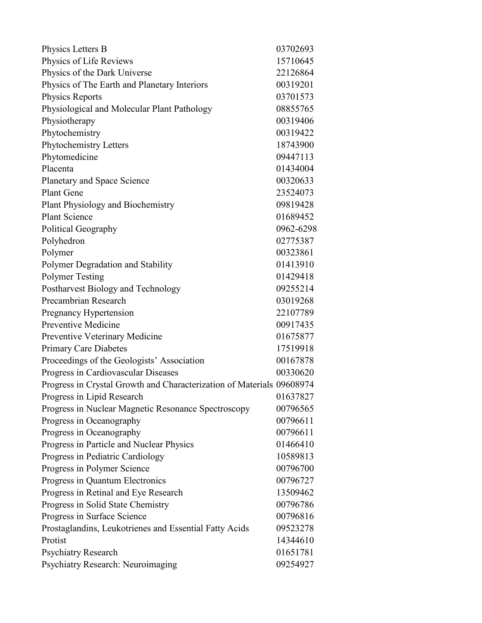| Physics Letters B                                                     | 03702693  |
|-----------------------------------------------------------------------|-----------|
| Physics of Life Reviews                                               | 15710645  |
| Physics of the Dark Universe                                          | 22126864  |
| Physics of The Earth and Planetary Interiors                          | 00319201  |
| <b>Physics Reports</b>                                                | 03701573  |
| Physiological and Molecular Plant Pathology                           | 08855765  |
| Physiotherapy                                                         | 00319406  |
| Phytochemistry                                                        | 00319422  |
| Phytochemistry Letters                                                | 18743900  |
| Phytomedicine                                                         | 09447113  |
| Placenta                                                              | 01434004  |
| Planetary and Space Science                                           | 00320633  |
| <b>Plant Gene</b>                                                     | 23524073  |
| Plant Physiology and Biochemistry                                     | 09819428  |
| <b>Plant Science</b>                                                  | 01689452  |
| Political Geography                                                   | 0962-6298 |
| Polyhedron                                                            | 02775387  |
| Polymer                                                               | 00323861  |
| Polymer Degradation and Stability                                     | 01413910  |
| <b>Polymer Testing</b>                                                | 01429418  |
| Postharvest Biology and Technology                                    | 09255214  |
| Precambrian Research                                                  | 03019268  |
| Pregnancy Hypertension                                                | 22107789  |
| Preventive Medicine                                                   | 00917435  |
| Preventive Veterinary Medicine                                        | 01675877  |
| <b>Primary Care Diabetes</b>                                          | 17519918  |
| Proceedings of the Geologists' Association                            | 00167878  |
| Progress in Cardiovascular Diseases                                   | 00330620  |
| Progress in Crystal Growth and Characterization of Materials 09608974 |           |
| Progress in Lipid Research                                            | 01637827  |
| Progress in Nuclear Magnetic Resonance Spectroscopy                   | 00796565  |
| Progress in Oceanography                                              | 00796611  |
| Progress in Oceanography                                              | 00796611  |
| Progress in Particle and Nuclear Physics                              | 01466410  |
| Progress in Pediatric Cardiology                                      | 10589813  |
| Progress in Polymer Science                                           | 00796700  |
| Progress in Quantum Electronics                                       | 00796727  |
| Progress in Retinal and Eye Research                                  | 13509462  |
| Progress in Solid State Chemistry                                     | 00796786  |
| Progress in Surface Science                                           | 00796816  |
| Prostaglandins, Leukotrienes and Essential Fatty Acids                | 09523278  |
| Protist                                                               | 14344610  |
| <b>Psychiatry Research</b>                                            | 01651781  |
| Psychiatry Research: Neuroimaging                                     | 09254927  |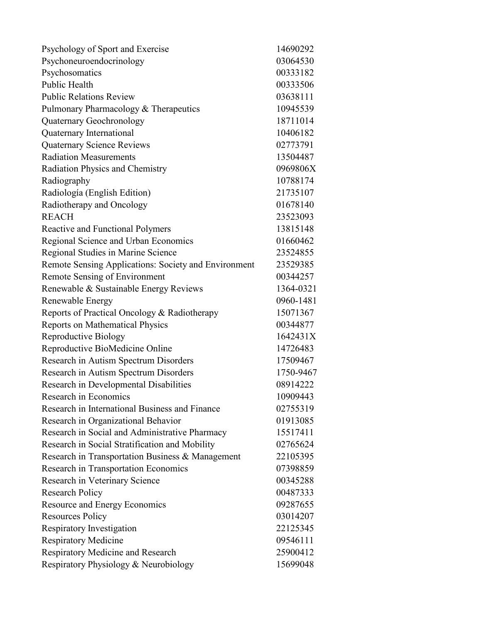| Psychology of Sport and Exercise                     | 14690292  |
|------------------------------------------------------|-----------|
| Psychoneuroendocrinology                             | 03064530  |
| Psychosomatics                                       | 00333182  |
| Public Health                                        | 00333506  |
| <b>Public Relations Review</b>                       | 03638111  |
| Pulmonary Pharmacology & Therapeutics                | 10945539  |
| Quaternary Geochronology                             | 18711014  |
| Quaternary International                             | 10406182  |
| <b>Quaternary Science Reviews</b>                    | 02773791  |
| <b>Radiation Measurements</b>                        | 13504487  |
| Radiation Physics and Chemistry                      | 0969806X  |
| Radiography                                          | 10788174  |
| Radiología (English Edition)                         | 21735107  |
| Radiotherapy and Oncology                            | 01678140  |
| <b>REACH</b>                                         | 23523093  |
| Reactive and Functional Polymers                     | 13815148  |
| Regional Science and Urban Economics                 | 01660462  |
| Regional Studies in Marine Science                   | 23524855  |
| Remote Sensing Applications: Society and Environment | 23529385  |
| Remote Sensing of Environment                        | 00344257  |
| Renewable & Sustainable Energy Reviews               | 1364-0321 |
| Renewable Energy                                     | 0960-1481 |
| Reports of Practical Oncology & Radiotherapy         | 15071367  |
| Reports on Mathematical Physics                      | 00344877  |
| Reproductive Biology                                 | 1642431X  |
| Reproductive BioMedicine Online                      | 14726483  |
| Research in Autism Spectrum Disorders                | 17509467  |
| Research in Autism Spectrum Disorders                | 1750-9467 |
| Research in Developmental Disabilities               | 08914222  |
| Research in Economics                                | 10909443  |
| Research in International Business and Finance       | 02755319  |
| Research in Organizational Behavior                  | 01913085  |
| Research in Social and Administrative Pharmacy       | 15517411  |
| Research in Social Stratification and Mobility       | 02765624  |
| Research in Transportation Business & Management     | 22105395  |
| Research in Transportation Economics                 | 07398859  |
| Research in Veterinary Science                       | 00345288  |
| <b>Research Policy</b>                               | 00487333  |
| Resource and Energy Economics                        | 09287655  |
| <b>Resources Policy</b>                              | 03014207  |
| Respiratory Investigation                            | 22125345  |
| <b>Respiratory Medicine</b>                          | 09546111  |
| <b>Respiratory Medicine and Research</b>             | 25900412  |
| Respiratory Physiology & Neurobiology                | 15699048  |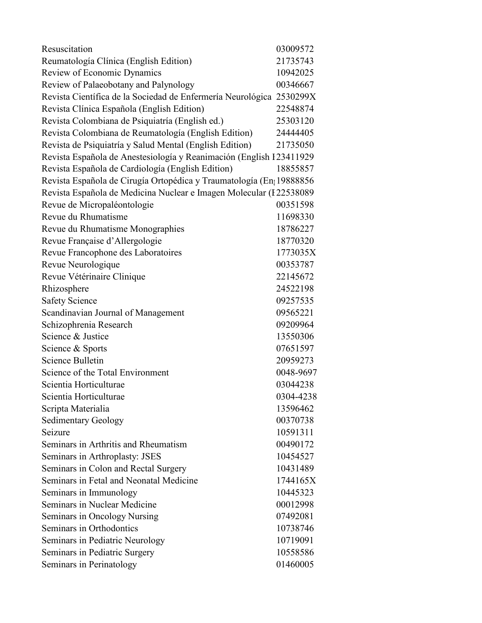| Resuscitation                                                        | 03009572  |
|----------------------------------------------------------------------|-----------|
| Reumatología Clínica (English Edition)                               | 21735743  |
| Review of Economic Dynamics                                          | 10942025  |
| Review of Palaeobotany and Palynology                                | 00346667  |
| Revista Científica de la Sociedad de Enfermería Neurológica 2530299X |           |
| Revista Clínica Española (English Edition)                           | 22548874  |
| Revista Colombiana de Psiquiatría (English ed.)                      | 25303120  |
| Revista Colombiana de Reumatología (English Edition)                 | 24444405  |
| Revista de Psiquiatría y Salud Mental (English Edition)              | 21735050  |
| Revista Española de Anestesiología y Reanimación (English I23411929  |           |
| Revista Española de Cardiología (English Edition)                    | 18855857  |
| Revista Española de Cirugía Ortopédica y Traumatología (En 19888856  |           |
| Revista Española de Medicina Nuclear e Imagen Molecular (I 22538089  |           |
| Revue de Micropaléontologie                                          | 00351598  |
| Revue du Rhumatisme                                                  | 11698330  |
| Revue du Rhumatisme Monographies                                     | 18786227  |
| Revue Française d'Allergologie                                       | 18770320  |
| Revue Francophone des Laboratoires                                   | 1773035X  |
| Revue Neurologique                                                   | 00353787  |
| Revue Vétérinaire Clinique                                           | 22145672  |
| Rhizosphere                                                          | 24522198  |
| <b>Safety Science</b>                                                | 09257535  |
| Scandinavian Journal of Management                                   | 09565221  |
| Schizophrenia Research                                               | 09209964  |
| Science & Justice                                                    | 13550306  |
| Science & Sports                                                     | 07651597  |
| Science Bulletin                                                     | 20959273  |
| Science of the Total Environment                                     | 0048-9697 |
| Scientia Horticulturae                                               | 03044238  |
| Scientia Horticulturae                                               | 0304-4238 |
| Scripta Materialia                                                   | 13596462  |
| <b>Sedimentary Geology</b>                                           | 00370738  |
| Seizure                                                              | 10591311  |
| Seminars in Arthritis and Rheumatism                                 | 00490172  |
| Seminars in Arthroplasty: JSES                                       | 10454527  |
| Seminars in Colon and Rectal Surgery                                 | 10431489  |
| Seminars in Fetal and Neonatal Medicine                              | 1744165X  |
| Seminars in Immunology                                               | 10445323  |
| Seminars in Nuclear Medicine                                         | 00012998  |
| Seminars in Oncology Nursing                                         | 07492081  |
| Seminars in Orthodontics                                             | 10738746  |
| Seminars in Pediatric Neurology                                      | 10719091  |
| Seminars in Pediatric Surgery                                        | 10558586  |
| Seminars in Perinatology                                             | 01460005  |
|                                                                      |           |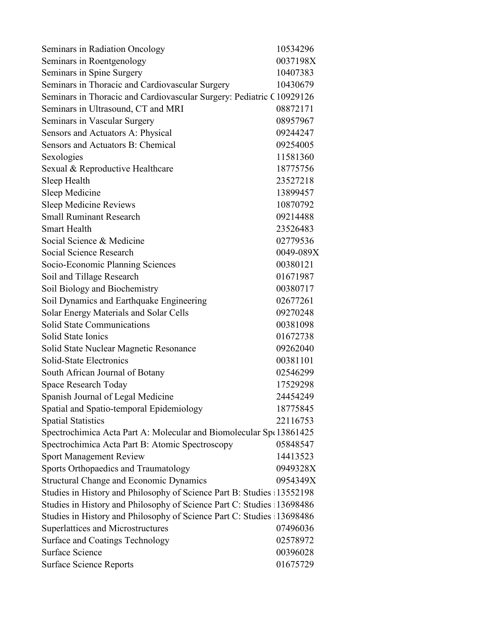| Seminars in Radiation Oncology                                        | 10534296  |
|-----------------------------------------------------------------------|-----------|
| Seminars in Roentgenology                                             | 0037198X  |
| Seminars in Spine Surgery                                             | 10407383  |
| Seminars in Thoracic and Cardiovascular Surgery                       | 10430679  |
| Seminars in Thoracic and Cardiovascular Surgery: Pediatric C10929126  |           |
| Seminars in Ultrasound, CT and MRI                                    | 08872171  |
| Seminars in Vascular Surgery                                          | 08957967  |
| Sensors and Actuators A: Physical                                     | 09244247  |
| Sensors and Actuators B: Chemical                                     | 09254005  |
| Sexologies                                                            | 11581360  |
| Sexual & Reproductive Healthcare                                      | 18775756  |
| Sleep Health                                                          | 23527218  |
| Sleep Medicine                                                        | 13899457  |
| Sleep Medicine Reviews                                                | 10870792  |
| <b>Small Ruminant Research</b>                                        | 09214488  |
| <b>Smart Health</b>                                                   | 23526483  |
| Social Science & Medicine                                             | 02779536  |
| Social Science Research                                               | 0049-089X |
| Socio-Economic Planning Sciences                                      | 00380121  |
| Soil and Tillage Research                                             | 01671987  |
| Soil Biology and Biochemistry                                         | 00380717  |
| Soil Dynamics and Earthquake Engineering                              | 02677261  |
| Solar Energy Materials and Solar Cells                                | 09270248  |
| <b>Solid State Communications</b>                                     | 00381098  |
| Solid State Ionics                                                    | 01672738  |
| Solid State Nuclear Magnetic Resonance                                | 09262040  |
| Solid-State Electronics                                               | 00381101  |
| South African Journal of Botany                                       | 02546299  |
| <b>Space Research Today</b>                                           | 17529298  |
| Spanish Journal of Legal Medicine                                     | 24454249  |
| Spatial and Spatio-temporal Epidemiology                              | 18775845  |
| <b>Spatial Statistics</b>                                             | 22116753  |
| Spectrochimica Acta Part A: Molecular and Biomolecular Sp(13861425)   |           |
| Spectrochimica Acta Part B: Atomic Spectroscopy                       | 05848547  |
| <b>Sport Management Review</b>                                        | 14413523  |
| Sports Orthopaedics and Traumatology                                  | 0949328X  |
| <b>Structural Change and Economic Dynamics</b>                        | 0954349X  |
| Studies in History and Philosophy of Science Part B: Studies 13552198 |           |
| Studies in History and Philosophy of Science Part C: Studies 13698486 |           |
| Studies in History and Philosophy of Science Part C: Studies 13698486 |           |
| <b>Superlattices and Microstructures</b>                              | 07496036  |
| <b>Surface and Coatings Technology</b>                                | 02578972  |
| <b>Surface Science</b>                                                | 00396028  |
| <b>Surface Science Reports</b>                                        | 01675729  |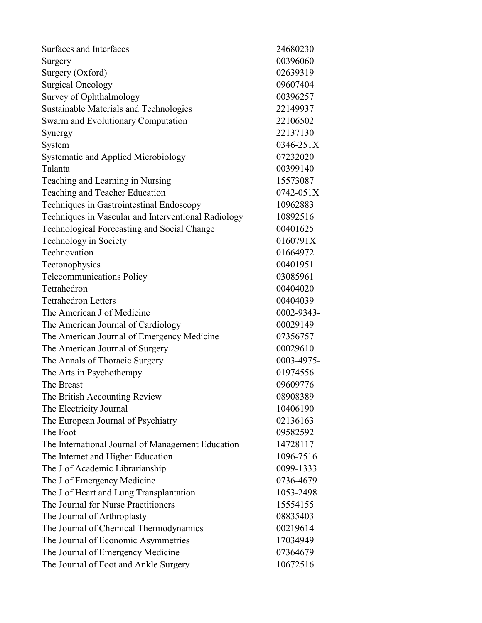| Surfaces and Interfaces                             | 24680230   |
|-----------------------------------------------------|------------|
| Surgery                                             | 00396060   |
| Surgery (Oxford)                                    | 02639319   |
| <b>Surgical Oncology</b>                            | 09607404   |
| Survey of Ophthalmology                             | 00396257   |
| Sustainable Materials and Technologies              | 22149937   |
| Swarm and Evolutionary Computation                  | 22106502   |
| Synergy                                             | 22137130   |
| System                                              | 0346-251X  |
| <b>Systematic and Applied Microbiology</b>          | 07232020   |
| Talanta                                             | 00399140   |
| Teaching and Learning in Nursing                    | 15573087   |
| Teaching and Teacher Education                      | 0742-051X  |
| Techniques in Gastrointestinal Endoscopy            | 10962883   |
| Techniques in Vascular and Interventional Radiology | 10892516   |
| Technological Forecasting and Social Change         | 00401625   |
| Technology in Society                               | 0160791X   |
| Technovation                                        | 01664972   |
| Tectonophysics                                      | 00401951   |
| <b>Telecommunications Policy</b>                    | 03085961   |
| Tetrahedron                                         | 00404020   |
| <b>Tetrahedron Letters</b>                          | 00404039   |
| The American J of Medicine                          | 0002-9343- |
| The American Journal of Cardiology                  | 00029149   |
| The American Journal of Emergency Medicine          | 07356757   |
| The American Journal of Surgery                     | 00029610   |
| The Annals of Thoracic Surgery                      | 0003-4975- |
| The Arts in Psychotherapy                           | 01974556   |
| The Breast                                          | 09609776   |
| The British Accounting Review                       | 08908389   |
| The Electricity Journal                             | 10406190   |
| The European Journal of Psychiatry                  | 02136163   |
| The Foot                                            | 09582592   |
| The International Journal of Management Education   | 14728117   |
| The Internet and Higher Education                   | 1096-7516  |
| The J of Academic Librarianship                     | 0099-1333  |
| The J of Emergency Medicine                         | 0736-4679  |
| The J of Heart and Lung Transplantation             | 1053-2498  |
| The Journal for Nurse Practitioners                 | 15554155   |
| The Journal of Arthroplasty                         | 08835403   |
| The Journal of Chemical Thermodynamics              | 00219614   |
| The Journal of Economic Asymmetries                 | 17034949   |
| The Journal of Emergency Medicine                   | 07364679   |
| The Journal of Foot and Ankle Surgery               | 10672516   |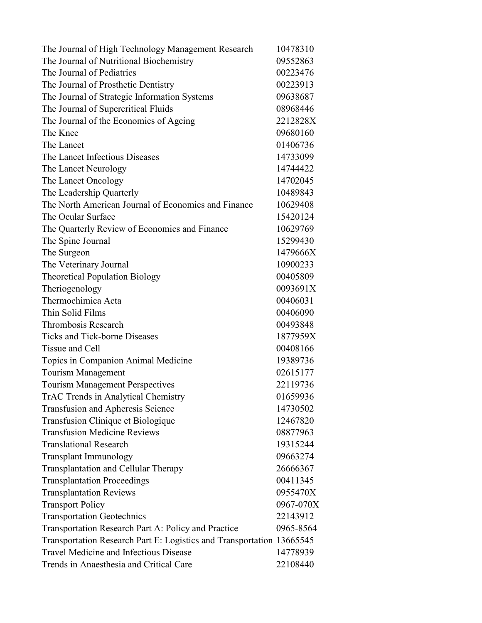| The Journal of High Technology Management Research                    | 10478310  |
|-----------------------------------------------------------------------|-----------|
| The Journal of Nutritional Biochemistry                               | 09552863  |
| The Journal of Pediatrics                                             | 00223476  |
| The Journal of Prosthetic Dentistry                                   | 00223913  |
| The Journal of Strategic Information Systems                          | 09638687  |
| The Journal of Supercritical Fluids                                   | 08968446  |
| The Journal of the Economics of Ageing                                | 2212828X  |
| The Knee                                                              | 09680160  |
| The Lancet                                                            | 01406736  |
| The Lancet Infectious Diseases                                        | 14733099  |
| The Lancet Neurology                                                  | 14744422  |
| The Lancet Oncology                                                   | 14702045  |
| The Leadership Quarterly                                              | 10489843  |
| The North American Journal of Economics and Finance                   | 10629408  |
| The Ocular Surface                                                    | 15420124  |
| The Quarterly Review of Economics and Finance                         | 10629769  |
| The Spine Journal                                                     | 15299430  |
| The Surgeon                                                           | 1479666X  |
| The Veterinary Journal                                                | 10900233  |
| <b>Theoretical Population Biology</b>                                 | 00405809  |
| Theriogenology                                                        | 0093691X  |
| Thermochimica Acta                                                    | 00406031  |
| Thin Solid Films                                                      | 00406090  |
| Thrombosis Research                                                   | 00493848  |
| <b>Ticks and Tick-borne Diseases</b>                                  | 1877959X  |
| Tissue and Cell                                                       | 00408166  |
| Topics in Companion Animal Medicine                                   | 19389736  |
| <b>Tourism Management</b>                                             | 02615177  |
| <b>Tourism Management Perspectives</b>                                | 22119736  |
| TrAC Trends in Analytical Chemistry                                   | 01659936  |
| Transfusion and Apheresis Science                                     | 14730502  |
| Transfusion Clinique et Biologique                                    | 12467820  |
| <b>Transfusion Medicine Reviews</b>                                   | 08877963  |
| <b>Translational Research</b>                                         | 19315244  |
| <b>Transplant Immunology</b>                                          | 09663274  |
| Transplantation and Cellular Therapy                                  | 26666367  |
| <b>Transplantation Proceedings</b>                                    | 00411345  |
| <b>Transplantation Reviews</b>                                        | 0955470X  |
| <b>Transport Policy</b>                                               | 0967-070X |
| <b>Transportation Geotechnics</b>                                     | 22143912  |
| Transportation Research Part A: Policy and Practice                   | 0965-8564 |
| Transportation Research Part E: Logistics and Transportation 13665545 |           |
| <b>Travel Medicine and Infectious Disease</b>                         | 14778939  |
| Trends in Anaesthesia and Critical Care                               | 22108440  |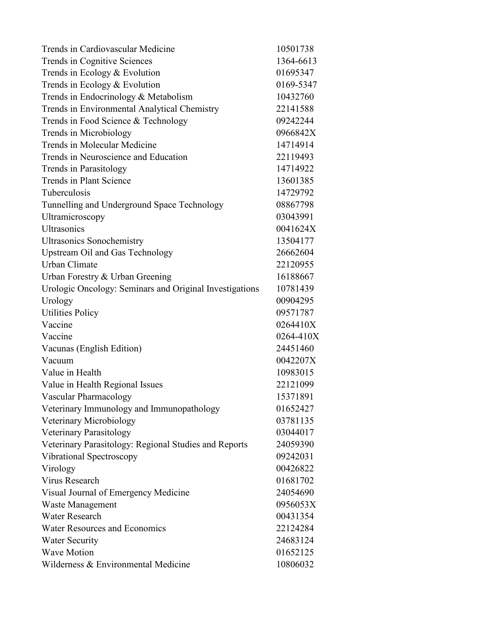| Trends in Cardiovascular Medicine                       | 10501738  |
|---------------------------------------------------------|-----------|
| Trends in Cognitive Sciences                            | 1364-6613 |
| Trends in Ecology & Evolution                           | 01695347  |
| Trends in Ecology & Evolution                           | 0169-5347 |
| Trends in Endocrinology & Metabolism                    | 10432760  |
| Trends in Environmental Analytical Chemistry            | 22141588  |
| Trends in Food Science & Technology                     | 09242244  |
| Trends in Microbiology                                  | 0966842X  |
| Trends in Molecular Medicine                            | 14714914  |
| Trends in Neuroscience and Education                    | 22119493  |
| Trends in Parasitology                                  | 14714922  |
| Trends in Plant Science                                 | 13601385  |
| Tuberculosis                                            | 14729792  |
| Tunnelling and Underground Space Technology             | 08867798  |
| Ultramicroscopy                                         | 03043991  |
| Ultrasonics                                             | 0041624X  |
| <b>Ultrasonics Sonochemistry</b>                        | 13504177  |
| Upstream Oil and Gas Technology                         | 26662604  |
| <b>Urban Climate</b>                                    | 22120955  |
| Urban Forestry & Urban Greening                         | 16188667  |
| Urologic Oncology: Seminars and Original Investigations | 10781439  |
| Urology                                                 | 00904295  |
| <b>Utilities Policy</b>                                 | 09571787  |
| Vaccine                                                 | 0264410X  |
| Vaccine                                                 | 0264-410X |
| Vacunas (English Edition)                               | 24451460  |
| Vacuum                                                  | 0042207X  |
| Value in Health                                         | 10983015  |
| Value in Health Regional Issues                         | 22121099  |
| Vascular Pharmacology                                   | 15371891  |
| Veterinary Immunology and Immunopathology               | 01652427  |
| Veterinary Microbiology                                 | 03781135  |
| Veterinary Parasitology                                 | 03044017  |
| Veterinary Parasitology: Regional Studies and Reports   | 24059390  |
| Vibrational Spectroscopy                                | 09242031  |
| Virology                                                | 00426822  |
| Virus Research                                          | 01681702  |
| Visual Journal of Emergency Medicine                    | 24054690  |
| Waste Management                                        | 0956053X  |
| Water Research                                          | 00431354  |
| <b>Water Resources and Economics</b>                    | 22124284  |
| <b>Water Security</b>                                   | 24683124  |
| <b>Wave Motion</b>                                      | 01652125  |
| Wilderness & Environmental Medicine                     | 10806032  |